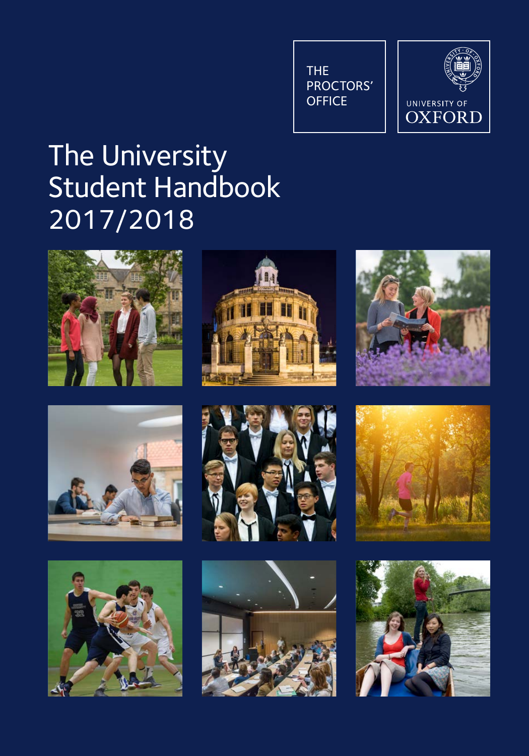THE PROCTORS' **OFFICE** 



# The University Student Handbook 2017/2018

















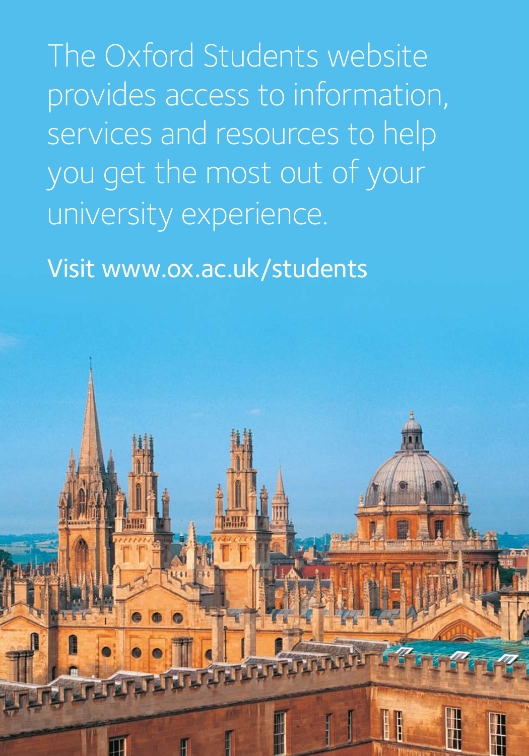The Oxford Students website provides access to information, services and resources to help you get the most out of your university experience.

Visit [www.ox.ac.uk/students](https://www.ox.ac.uk/students?wssl=1)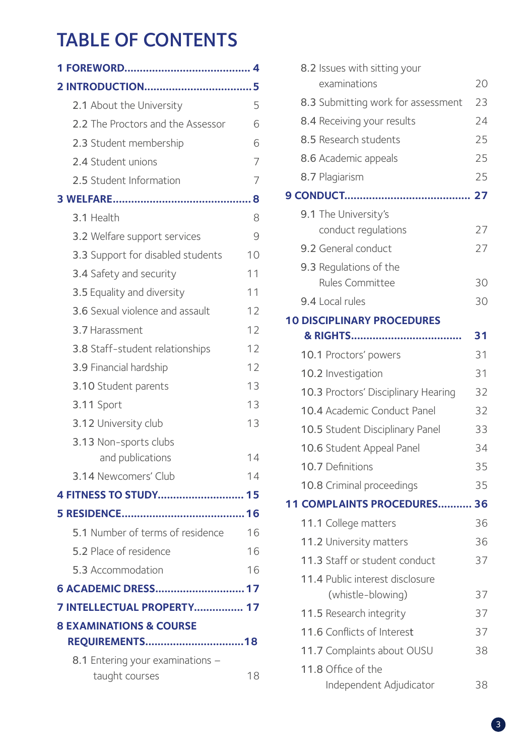# <span id="page-2-0"></span>TABLE OF CONTENTS

| 2.1 About the University                           | 5  |
|----------------------------------------------------|----|
| 2.2 The Proctors and the Assessor                  | 6  |
| 2.3 Student membership                             | 6  |
| 2.4 Student unions                                 | 7  |
| 2.5 Student Information                            | 7  |
|                                                    |    |
| 3.1 Health                                         | 8  |
| 3.2 Welfare support services                       | 9  |
| 3.3 Support for disabled students                  | 10 |
| 3.4 Safety and security                            | 11 |
| 3.5 Equality and diversity                         | 11 |
| 3.6 Sexual violence and assault                    | 12 |
| 3.7 Harassment                                     | 12 |
| 3.8 Staff-student relationships                    | 12 |
| 3.9 Financial hardship                             | 12 |
| 3.10 Student parents                               | 13 |
| 3.11 Sport                                         | 13 |
| 3.12 University club                               | 13 |
| 3.13 Non-sports clubs                              |    |
| and publications                                   | 14 |
| 3.14 Newcomers' Club                               | 14 |
| 4 FITNESS TO STUDY 15                              |    |
|                                                    |    |
| 5.1 Number of terms of residence                   | 16 |
| 5.2 Place of residence                             | 16 |
| 5.3 Accommodation                                  | 16 |
| 6 ACADEMIC DRESS 17                                |    |
| 7 INTELLECTUAL PROPERTY 17                         |    |
| <b>8 EXAMINATIONS &amp; COURSE</b>                 |    |
| REQUIREMENTS18                                     |    |
| 8.1 Entering your examinations -<br>taught courses | 18 |
|                                                    |    |

| 8.2 Issues with sitting your        |    |
|-------------------------------------|----|
| examinations                        | 20 |
| 8.3 Submitting work for assessment  | 23 |
| 8.4 Receiving your results          | 24 |
| 8.5 Research students               | 25 |
| 8.6 Academic appeals                | 25 |
| 8.7 Plagiarism                      | 25 |
|                                     |    |
| 9.1 The University's                |    |
| conduct regulations                 | 27 |
| 9.2 General conduct                 | 27 |
| 9.3 Regulations of the              |    |
| Rules Committee                     | 30 |
| 9.4 Local rules                     | 30 |
| <b>10 DISCIPLINARY PROCEDURES</b>   |    |
|                                     | 31 |
| 10.1 Proctors' powers               | 31 |
| 10.2 Investigation                  | 31 |
| 10.3 Proctors' Disciplinary Hearing | 32 |
| 10.4 Academic Conduct Panel         | 32 |
| 10.5 Student Disciplinary Panel     | 33 |
| 10.6 Student Appeal Panel           | 34 |
| 10.7 Definitions                    | 35 |
| 10.8 Criminal proceedings           | 35 |
| 11 COMPLAINTS PROCEDURES 36         |    |
| 11.1 College matters                | 36 |
| 11.2 University matters             | 36 |
| 11.3 Staff or student conduct       | 37 |
| 11.4 Public interest disclosure     |    |
| (whistle-blowing)                   | 37 |
| 11.5 Research integrity             | 37 |
| 11.6 Conflicts of Interest          | 37 |
| 11.7 Complaints about OUSU          | 38 |
| 11.8 Office of the                  |    |
| Independent Adjudicator             | 38 |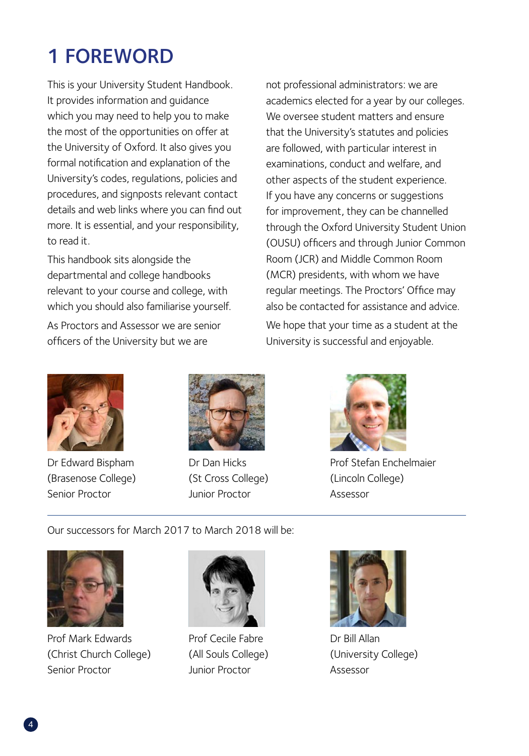# <span id="page-3-0"></span>1 FOREWORD

This is your University Student Handbook. It provides information and guidance which you may need to help you to make the most of the opportunities on offer at the University of Oxford. It also gives you formal notification and explanation of the University's codes, regulations, policies and procedures, and signposts relevant contact details and web links where you can find out more. It is essential, and your responsibility, to read it.

This handbook sits alongside the departmental and college handbooks relevant to your course and college, with which you should also familiarise yourself.

As Proctors and Assessor we are senior officers of the University but we are

not professional administrators: we are academics elected for a year by our colleges. We oversee student matters and ensure that the University's statutes and policies are followed, with particular interest in examinations, conduct and welfare, and other aspects of the student experience. If you have any concerns or suggestions for improvement, they can be channelled through the Oxford University Student Union (OUSU) officers and through Junior Common Room (JCR) and Middle Common Room (MCR) presidents, with whom we have regular meetings. The Proctors' Office may also be contacted for assistance and advice.

We hope that your time as a student at the University is successful and enjoyable.



Dr Edward Bispham (Brasenose College) Senior Proctor



Dr Dan Hicks (St Cross College) Junior Proctor



Prof Stefan Enchelmaier (Lincoln College) Assessor

Our successors for March 2017 to March 2018 will be:



Prof Mark Edwards (Christ Church College) Senior Proctor



Prof Cecile Fabre (All Souls College) Junior Proctor



Dr Bill Allan (University College) Assessor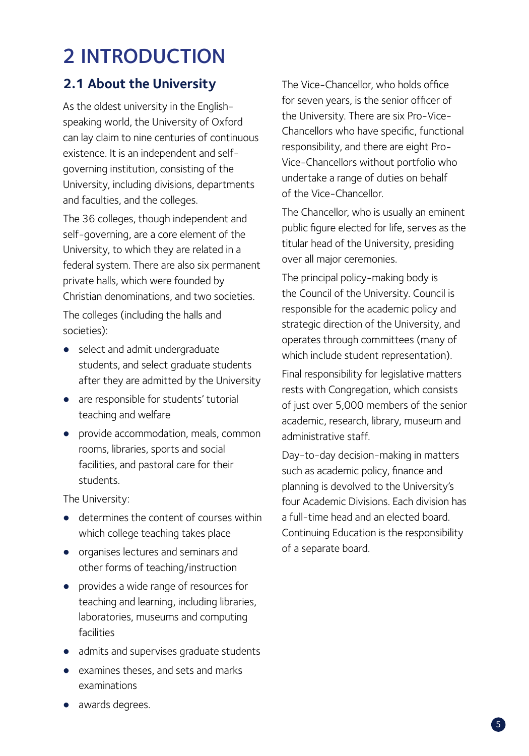# <span id="page-4-0"></span>2 INTRODUCTION

# **2.1 About the University**

As the oldest university in the Englishspeaking world, the University of Oxford can lay claim to nine centuries of continuous existence. It is an independent and selfgoverning institution, consisting of the University, including divisions, departments and faculties, and the colleges.

The 36 colleges, though independent and self-governing, are a core element of the University, to which they are related in a federal system. There are also six permanent private halls, which were founded by Christian denominations, and two societies. The colleges (including the halls and societies):

- select and admit undergraduate students, and select graduate students after they are admitted by the University
- are responsible for students' tutorial teaching and welfare
- provide accommodation, meals, common rooms, libraries, sports and social facilities, and pastoral care for their students.

The University:

- determines the content of courses within which college teaching takes place
- organises lectures and seminars and other forms of teaching/instruction
- provides a wide range of resources for teaching and learning, including libraries, laboratories, museums and computing facilities
- admits and supervises graduate students
- examines theses, and sets and marks examinations

The Vice-Chancellor, who holds office for seven years, is the senior officer of the University. There are six Pro-Vice-Chancellors who have specific, functional responsibility, and there are eight Pro-Vice-Chancellors without portfolio who undertake a range of duties on behalf of the Vice-Chancellor.

The Chancellor, who is usually an eminent public figure elected for life, serves as the titular head of the University, presiding over all major ceremonies.

The principal policy-making body is the Council of the University. Council is responsible for the academic policy and strategic direction of the University, and operates through committees (many of which include student representation).

Final responsibility for legislative matters rests with Congregation, which consists of just over 5,000 members of the senior academic, research, library, museum and administrative staff.

Day-to-day decision-making in matters such as academic policy, finance and planning is devolved to the University's four Academic Divisions. Each division has a full-time head and an elected board. Continuing Education is the responsibility of a separate board.

● awards degrees.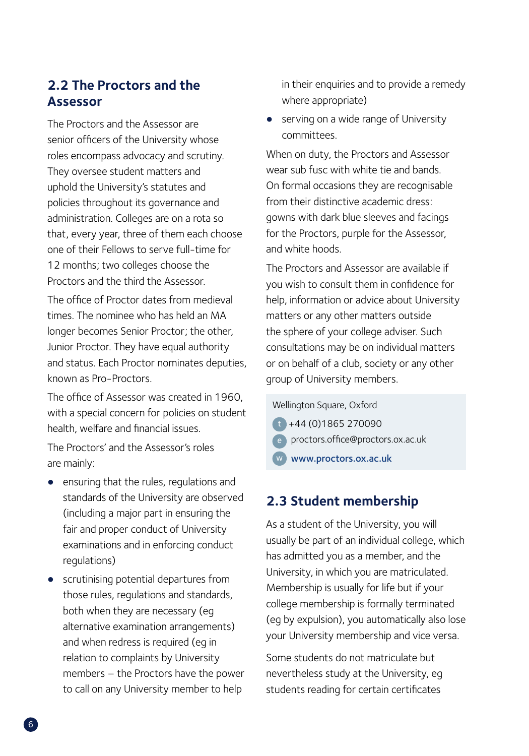## <span id="page-5-0"></span>**2.2 The Proctors and the Assessor**

The Proctors and the Assessor are senior officers of the University whose roles encompass advocacy and scrutiny. They oversee student matters and uphold the University's statutes and policies throughout its governance and administration. Colleges are on a rota so that, every year, three of them each choose one of their Fellows to serve full-time for 12 months; two colleges choose the Proctors and the third the Assessor.

The office of Proctor dates from medieval times. The nominee who has held an MA longer becomes Senior Proctor; the other, Junior Proctor. They have equal authority and status. Each Proctor nominates deputies, known as Pro-Proctors.

The office of Assessor was created in 1960, with a special concern for policies on student health, welfare and financial issues.

The Proctors' and the Assessor's roles are mainly:

- ensuring that the rules, regulations and standards of the University are observed (including a major part in ensuring the fair and proper conduct of University examinations and in enforcing conduct regulations)
- scrutinising potential departures from those rules, regulations and standards, both when they are necessary (eg alternative examination arrangements) and when redress is required (eg in relation to complaints by University members – the Proctors have the power to call on any University member to help

in their enquiries and to provide a remedy where appropriate)

● serving on a wide range of University committees.

When on duty, the Proctors and Assessor wear sub fusc with white tie and bands. On formal occasions they are recognisable from their distinctive academic dress: gowns with dark blue sleeves and facings for the Proctors, purple for the Assessor, and white hoods.

The Proctors and Assessor are available if you wish to consult them in confidence for help, information or advice about University matters or any other matters outside the sphere of your college adviser. Such consultations may be on individual matters or on behalf of a club, society or any other group of University members.

Wellington Square, Oxford

- $t + 44 (0)1865 270090$
- [proctors.office@proctors.ox.ac.uk](mailto:proctors.office%40proctors.ox.ac.uk?subject=)
- [www.proctors.](http://www.proctors.ox.ac.uk/)ox.ac.uk

# **2.3 Student membership**

As a student of the University, you will usually be part of an individual college, which has admitted you as a member, and the University, in which you are matriculated. Membership is usually for life but if your college membership is formally terminated (eg by expulsion), you automatically also lose your University membership and vice versa.

Some students do not matriculate but nevertheless study at the University, eg students reading for certain certificates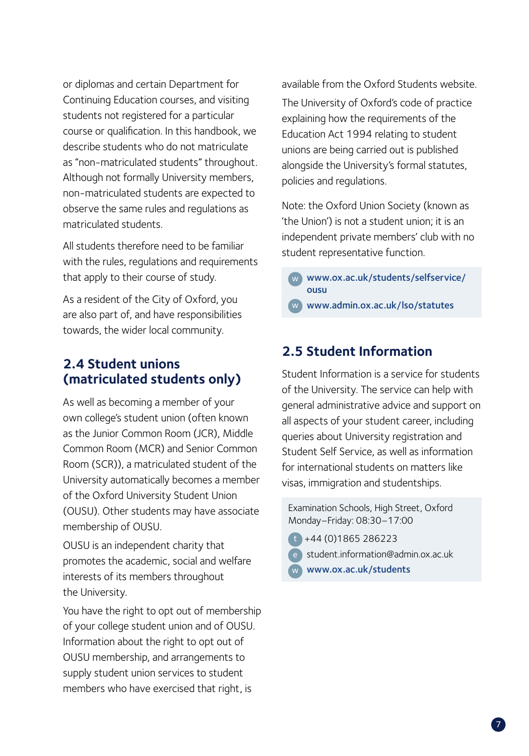<span id="page-6-0"></span>or diplomas and certain Department for Continuing Education courses, and visiting students not registered for a particular course or qualification. In this handbook, we describe students who do not matriculate as "non-matriculated students" throughout. Although not formally University members, non-matriculated students are expected to observe the same rules and regulations as matriculated students.

All students therefore need to be familiar with the rules, regulations and requirements that apply to their course of study.

As a resident of the City of Oxford, you are also part of, and have responsibilities towards, the wider local community.

# **2.4 Student unions (matriculated students only)**

As well as becoming a member of your own college's student union (often known as the Junior Common Room (JCR), Middle Common Room (MCR) and Senior Common Room (SCR)), a matriculated student of the University automatically becomes a member of the Oxford University Student Union (OUSU). Other students may have associate membership of OUSU.

OUSU is an independent charity that promotes the academic, social and welfare interests of its members throughout the University.

You have the right to opt out of membership of your college student union and of OUSU. Information about the right to opt out of OUSU membership, and arrangements to supply student union services to student members who have exercised that right, is

available from the Oxford Students website. The University of Oxford's code of practice explaining how the requirements of the Education Act 1994 relating to student unions are being carried out is published alongside the University's formal statutes, policies and regulations.

Note: the Oxford Union Society (known as 'the Union') is not a student union; it is an independent private members' club with no student representative function.

w [www.ox.ac.uk/students/selfservice/](https://www.ox.ac.uk/students/selfservice/ousu?wssl=1) [ousu](https://www.ox.ac.uk/students/selfservice/ousu?wssl=1)

w [www.admin.ox.ac.uk/lso/statutes](http://www.admin.ox.ac.uk/lso/statutes/)

# **2.5 Student Information**

Student Information is a service for students of the University. The service can help with general administrative advice and support on all aspects of your student career, including queries about University registration and Student Self Service, as well as information for international students on matters like visas, immigration and studentships. 

Examination Schools, High Street, Oxford Monday–Friday: 08:30–17:00

- $t + 44 (0)1865 286223$
- e ) [student.information@admin.ox.ac.uk](mailto:student.information%40admin.ox.ac.uk?subject=)
- w [www.ox.ac.uk/students](https://www.ox.ac.uk/students?wssl=1)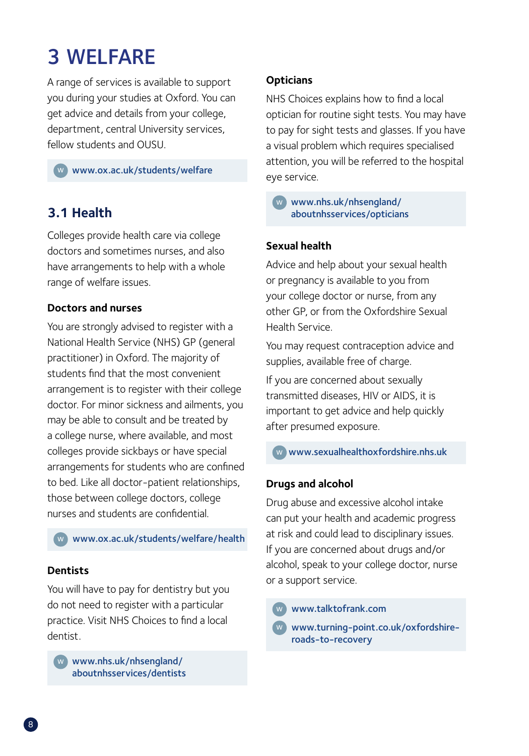# <span id="page-7-0"></span>3 WELFARE

A range of services is available to support you during your studies at Oxford. You can get advice and details from your college, department, central University services, fellow students and OUSU.

w [www.ox.ac.uk/students/welfare](https://www.ox.ac.uk/students/welfare?wssl=1)

# **3.1 Health**

Colleges provide health care via college doctors and sometimes nurses, and also have arrangements to help with a whole range of welfare issues.

## **Doctors and nurses**

You are strongly advised to register with a National Health Service (NHS) GP (general practitioner) in Oxford. The majority of students find that the most convenient arrangement is to register with their college doctor. For minor sickness and ailments, you may be able to consult and be treated by a college nurse, where available, and most colleges provide sickbays or have special arrangements for students who are confined to bed. Like all doctor-patient relationships, those between college doctors, college nurses and students are confidential.

w [www.ox.ac.uk/students/welfare/health](https://www.ox.ac.uk/students/welfare/health?wssl=1)

## **Dentists**

You will have to pay for dentistry but you do not need to register with a particular practice. Visit NHS Choices to find a local dentist.

w [www.nhs.uk/nhsengland/](http://www.nhs.uk/nhsengland/aboutnhsservices/dentists/Pages/find-an-NHS-dentist.aspx) [aboutnhsservices/dentists](http://www.nhs.uk/nhsengland/aboutnhsservices/dentists/Pages/find-an-NHS-dentist.aspx)

## **Opticians**

NHS Choices explains how to find a local optician for routine sight tests. You may have to pay for sight tests and glasses. If you have a visual problem which requires specialised attention, you will be referred to the hospital eye service.

w [www.nhs.uk/nhsengland/](http://www.nhs.uk/nhsengland/aboutnhsservices/opticians/Pages/NHSopticians.aspx) [aboutnhsservices/opticians](http://www.nhs.uk/nhsengland/aboutnhsservices/opticians/Pages/NHSopticians.aspx)

## **Sexual health**

Advice and help about your sexual health or pregnancy is available to you from your college doctor or nurse, from any other GP, or from the Oxfordshire Sexual Health Service.

You may request contraception advice and supplies, available free of charge.

If you are concerned about sexually transmitted diseases, HIV or AIDS, it is important to get advice and help quickly after presumed exposure.

w [www.sexualhealthoxfordshire.nhs.uk](http://www.sexualhealthoxfordshire.nhs.uk/)

## **Drugs and alcohol**

Drug abuse and excessive alcohol intake can put your health and academic progress at risk and could lead to disciplinary issues. If you are concerned about drugs and/or alcohol, speak to your college doctor, nurse or a support service.

- w [www.talktofrank.com](http://www.talktofrank.com/)
- <sup>w</sup> [www.turning-point.co.uk/oxfordshire](http://www.turning-point.co.uk/oxfordshire-roads-to-recovery)[roads-to-recovery](http://www.turning-point.co.uk/oxfordshire-roads-to-recovery)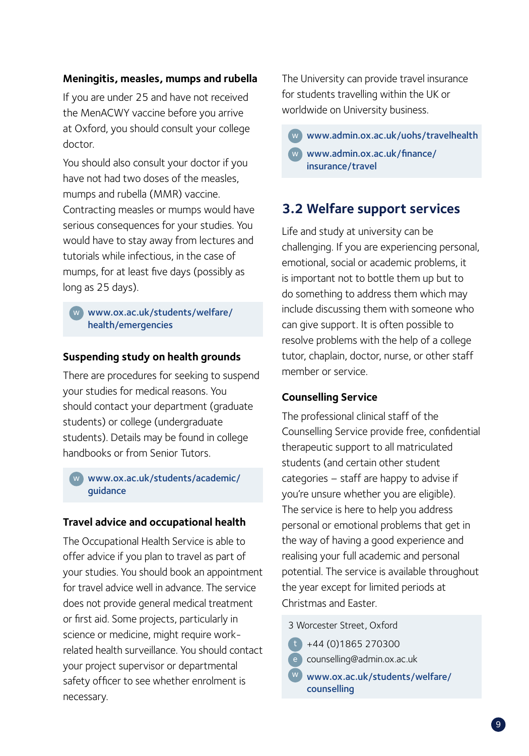## <span id="page-8-0"></span>**Meningitis, measles, mumps and rubella**

If you are under 25 and have not received the MenACWY vaccine before you arrive at Oxford, you should consult your college doctor.

You should also consult your doctor if you have not had two doses of the measles, mumps and rubella (MMR) vaccine. Contracting measles or mumps would have serious consequences for your studies. You would have to stay away from lectures and tutorials while infectious, in the case of mumps, for at least five days (possibly as long as 25 days).

w [www.ox.ac.uk/students/welfare/](https://www.ox.ac.uk/students/welfare/health/emergencies?wssl=1) [health/emergencies](https://www.ox.ac.uk/students/welfare/health/emergencies?wssl=1)

## **Suspending study on health grounds**

There are procedures for seeking to suspend your studies for medical reasons. You should contact your department (graduate students) or college (undergraduate students). Details may be found in college handbooks or from Senior Tutors.

#### w [www.ox.ac.uk/students/academic/](https://www.ox.ac.uk/students/academic/guidance?wssl=1) [guidance](https://www.ox.ac.uk/students/academic/guidance?wssl=1)

#### **Travel advice and occupational health**

The Occupational Health Service is able to offer advice if you plan to travel as part of your studies. You should book an appointment for travel advice well in advance. The service does not provide general medical treatment or first aid. Some projects, particularly in science or medicine, might require workrelated health surveillance. You should contact your project supervisor or departmental safety officer to see whether enrolment is necessary.

The University can provide travel insurance for students travelling within the UK or worldwide on University business.

w [www.admin.ox.ac.uk/uohs/travelhealth](http://www.admin.ox.ac.uk/uohs/travelhealth/)

[www.admin.ox.ac.uk/finance/](http://www.admin.ox.ac.uk/finance/insurance/travel/) [insurance/travel](http://www.admin.ox.ac.uk/finance/insurance/travel/)

## **3.2 Welfare support services**

Life and study at university can be challenging. If you are experiencing personal, emotional, social or academic problems, it is important not to bottle them up but to do something to address them which may include discussing them with someone who can give support. It is often possible to resolve problems with the help of a college tutor, chaplain, doctor, nurse, or other staff member or service.

#### **Counselling Service**

The professional clinical staff of the Counselling Service provide free, confidential therapeutic support to all matriculated students (and certain other student categories – staff are happy to advise if you're unsure whether you are eligible). The service is here to help you address personal or emotional problems that get in the way of having a good experience and realising your full academic and personal potential. The service is available throughout the year except for limited periods at Christmas and Easter.

3 Worcester Street, Oxford

- $t + 44 (0)1865 270300$
- e [counselling@admin.ox.ac.uk](mailto:counselling%40admin.ox.ac.uk?subject=)
- [www.ox.ac.uk/students/welfare/](https://www.ox.ac.uk/students/welfare/counselling?wssl=1) [counselling](https://www.ox.ac.uk/students/welfare/counselling?wssl=1)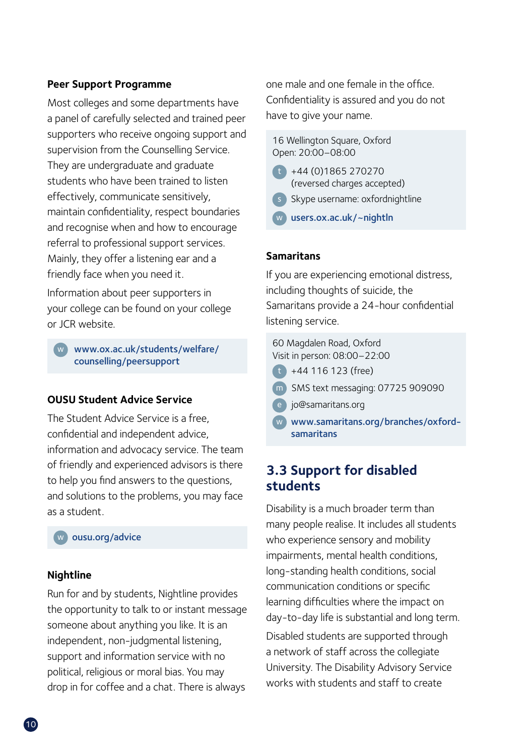#### <span id="page-9-0"></span>**Peer Support Programme**

Most colleges and some departments have a panel of carefully selected and trained peer supporters who receive ongoing support and supervision from the Counselling Service. They are undergraduate and graduate students who have been trained to listen effectively, communicate sensitively, maintain confidentiality, respect boundaries and recognise when and how to encourage referral to professional support services. Mainly, they offer a listening ear and a friendly face when you need it.

Information about peer supporters in your college can be found on your college or JCR website.

<sup>w</sup> [www.ox.ac.uk/students/welfare/](http://www.ox.ac.uk/students/welfare/counselling/peersupport) [counselling/peersupport](http://www.ox.ac.uk/students/welfare/counselling/peersupport)

## **OUSU Student Advice Service**

The Student Advice Service is a free, confidential and independent advice, information and advocacy service. The team of friendly and experienced advisors is there to help you find answers to the questions, and solutions to the problems, you may face as a student.

w [ousu.org/advice](http://ousu.org/advice/)

#### **Nightline**

Run for and by students, Nightline provides the opportunity to talk to or instant message someone about anything you like. It is an independent, non-judgmental listening, support and information service with no political, religious or moral bias. You may drop in for coffee and a chat. There is always

one male and one female in the office. Confidentiality is assured and you do not have to give your name.

16 Wellington Square, Oxford Open: 20:00–08:00 t +44 (0)1865 270270 (reversed charges accepted) Skype username: oxfordnightline w [users.ox.ac.uk/~nightln](http://oxfordnightline.org/)

## **Samaritans**

If you are experiencing emotional distress, including thoughts of suicide, the Samaritans provide a 24-hour confidential listening service.

60 Magdalen Road, Oxford Visit in person: 08:00–22:00

- t +44 116 123 (free)
- m SMS text messaging: 07725 909090
- [jo@samaritans.org](mailto:jo%40samaritans.org%0D?subject=)
- w [www.samaritans.org/branches/oxford](http://www.samaritans.org/branches/oxford-samaritans)[samaritans](http://www.samaritans.org/branches/oxford-samaritans)

## **3.3 Support for disabled students**

Disability is a much broader term than many people realise. It includes all students who experience sensory and mobility impairments, mental health conditions, long-standing health conditions, social communication conditions or specific learning difficulties where the impact on day-to-day life is substantial and long term.

Disabled students are supported through a network of staff across the collegiate University. The Disability Advisory Service works with students and staff to create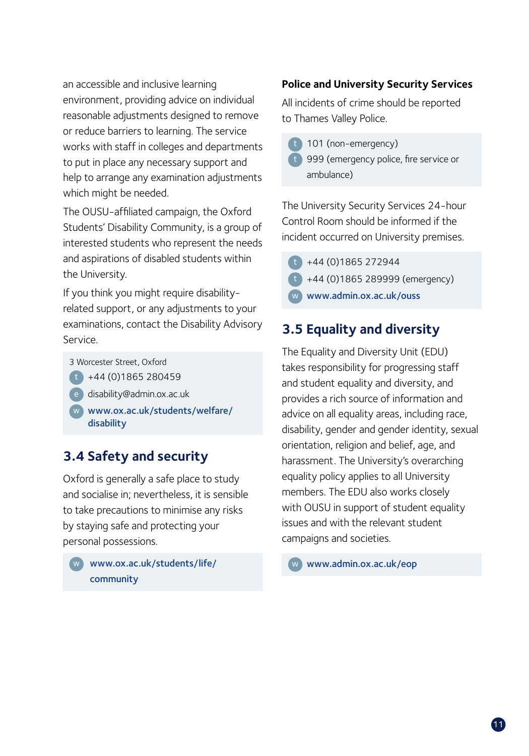<span id="page-10-0"></span>an accessible and inclusive learning environment, providing advice on individual reasonable adjustments designed to remove or reduce barriers to learning. The service works with staff in colleges and departments to put in place any necessary support and help to arrange any examination adjustments which might be needed.

The OUSU-affiliated campaign, the Oxford Students' Disability Community, is a group of interested students who represent the needs and aspirations of disabled students within the University.

If you think you might require disabilityrelated support, or any adjustments to your examinations, contact the Disability Advisory Service.

3 Worcester Street, Oxford

- $t + 44 (0)1865 280459$
- e ) [disability@admin.ox.ac.uk](mailto:disability%40admin.ox.ac.uk?subject=)

w [www.ox.ac.uk/students/welfare/](https://www.ox.ac.uk/students/welfare/disability?wssl=1) [disability](https://www.ox.ac.uk/students/welfare/disability?wssl=1)

# **3.4 Safety and security**

Oxford is generally a safe place to study and socialise in; nevertheless, it is sensible to take precautions to minimise any risks by staying safe and protecting your personal possessions.



## **Police and University Security Services**

All incidents of crime should be reported to Thames Valley Police.

t 101 (non-emergency) t 999 (emergency police, fire service or ambulance)

The University Security Services 24-hour Control Room should be informed if the incident occurred on University premises.

 $+44$  (0)1865 272944

t +44 (0)1865 289999 (emergency)

w [www.admin.ox.ac.uk/ouss](http://www.admin.ox.ac.uk/ouss)

# **3.5 Equality and diversity**

The Equality and Diversity Unit (EDU) takes responsibility for progressing staff and student equality and diversity, and provides a rich source of information and advice on all equality areas, including race, disability, gender and gender identity, sexual orientation, religion and belief, age, and harassment. The University's overarching equality policy applies to all University members. The EDU also works closely with OUSU in support of student equality issues and with the relevant student campaigns and societies.

w www.admin.ox.ac.uk/eop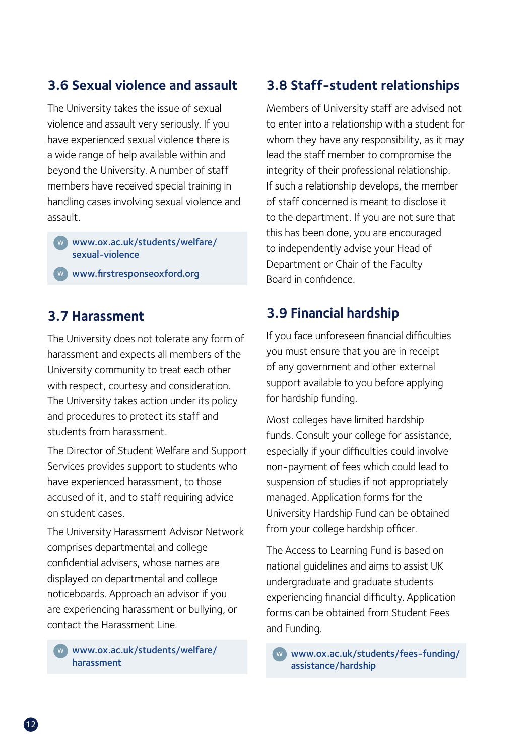## <span id="page-11-0"></span>**3.6 Sexual violence and assault**

The University takes the issue of sexual violence and assault very seriously. If you have experienced sexual violence there is a wide range of help available within and beyond the University. A number of staff members have received special training in handling cases involving sexual violence and assault.

w [www.ox.ac.uk/students/welfare/](https://www.ox.ac.uk/students/welfare/sexual-violence?wssl=1) [sexual-violence](https://www.ox.ac.uk/students/welfare/sexual-violence?wssl=1)

w [www.firstresponseoxford.org](http://www.firstresponseoxford.org/)

## **3.7 Harassment**

The University does not tolerate any form of harassment and expects all members of the University community to treat each other with respect, courtesy and consideration. The University takes action under its policy and procedures to protect its staff and students from harassment.

The Director of Student Welfare and Support Services provides support to students who have experienced harassment, to those accused of it, and to staff requiring advice on student cases.

The University Harassment Advisor Network comprises departmental and college confidential advisers, whose names are displayed on departmental and college noticeboards. Approach an advisor if you are experiencing harassment or bullying, or contact the Harassment Line.

[www.ox.ac.uk/students/welfare/](https://www.ox.ac.uk/students/welfare/harassment?wssl=1) [harassment](https://www.ox.ac.uk/students/welfare/harassment?wssl=1)

# **3.8 Staff-student relationships**

Members of University staff are advised not to enter into a relationship with a student for whom they have any responsibility, as it may lead the staff member to compromise the integrity of their professional relationship. If such a relationship develops, the member of staff concerned is meant to disclose it to the department. If you are not sure that this has been done, you are encouraged to independently advise your Head of Department or Chair of the Faculty Board in confidence.

## **3.9 Financial hardship**

If you face unforeseen financial difficulties you must ensure that you are in receipt of any government and other external support available to you before applying for hardship funding.

Most colleges have limited hardship funds. Consult your college for assistance, especially if your difficulties could involve non-payment of fees which could lead to suspension of studies if not appropriately managed. Application forms for the University Hardship Fund can be obtained from your college hardship officer.

The Access to Learning Fund is based on national guidelines and aims to assist UK undergraduate and graduate students experiencing financial difficulty. Application forms can be obtained from Student Fees and Funding.

w [www.ox.ac.uk/students/fees-funding/](http://www.ox.ac.uk/students/fees-funding/assistance/hardship) [assistance/hardship](http://www.ox.ac.uk/students/fees-funding/assistance/hardship)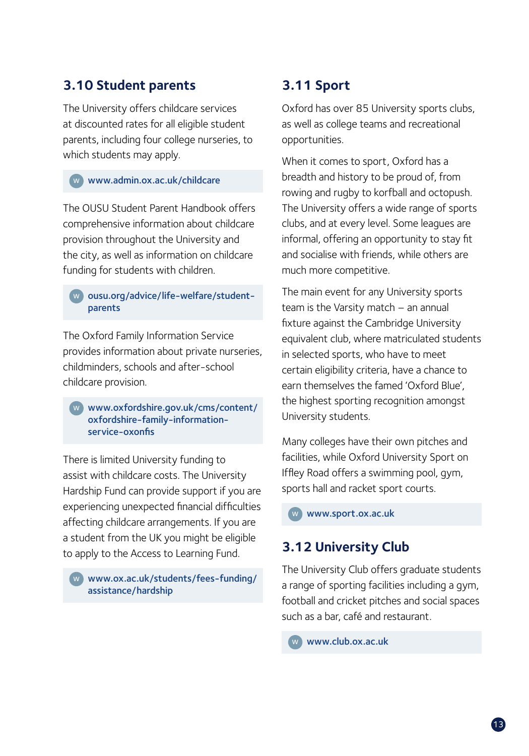# <span id="page-12-0"></span>**3.10 Student parents**

The University offers childcare services at discounted rates for all eligible student parents, including four college nurseries, to which students may apply.

# w [www.admin.ox.ac.uk/childcare](http://www.admin.ox.ac.uk/childcare/)

The OUSU Student Parent Handbook offers comprehensive information about childcare provision throughout the University and the city, as well as information on childcare funding for students with children.

#### w [ousu.org/advice/life-welfare/student](http://ousu.org/advice/life-welfare/student-parents/)[parents](http://ousu.org/advice/life-welfare/student-parents/)

The Oxford Family Information Service provides information about private nurseries, childminders, schools and after-school childcare provision.

#### w [www.oxfordshire.gov.uk/cms/content/](https://www.oxfordshire.gov.uk/cms/content/oxfordshire-family-information-service-oxonfis) [oxfordshire-family-information](https://www.oxfordshire.gov.uk/cms/content/oxfordshire-family-information-service-oxonfis)[service-oxonfis](https://www.oxfordshire.gov.uk/cms/content/oxfordshire-family-information-service-oxonfis)

There is limited University funding to assist with childcare costs. The University Hardship Fund can provide support if you are experiencing unexpected financial difficulties affecting childcare arrangements. If you are a student from the UK you might be eligible to apply to the Access to Learning Fund.

w [www.ox.ac.uk/students/fees-funding/](http://www.ox.ac.uk/students/fees-funding/assistance/hardship) [assistance/hardship](http://www.ox.ac.uk/students/fees-funding/assistance/hardship)

# **3.11 Sport**

Oxford has over 85 University sports clubs, as well as college teams and recreational opportunities.

When it comes to sport, Oxford has a breadth and history to be proud of, from rowing and rugby to korfball and octopush. The University offers a wide range of sports clubs, and at every level. Some leagues are informal, offering an opportunity to stay fit and socialise with friends, while others are much more competitive.

The main event for any University sports team is the Varsity match – an annual fixture against the Cambridge University equivalent club, where matriculated students in selected sports, who have to meet certain eligibility criteria, have a chance to earn themselves the famed 'Oxford Blue', the highest sporting recognition amongst University students.

Many colleges have their own pitches and facilities, while Oxford University Sport on Iffley Road offers a swimming pool, gym, sports hall and racket sport courts.

w [www.sport.ox.ac.uk](http://www.sport.ox.ac.uk/)

## **3.12 University Club**

The University Club offers graduate students a range of sporting facilities including a gym, football and cricket pitches and social spaces such as a bar, café and restaurant.

w [www.club.ox.ac.uk](http://www.club.ox.ac.uk/)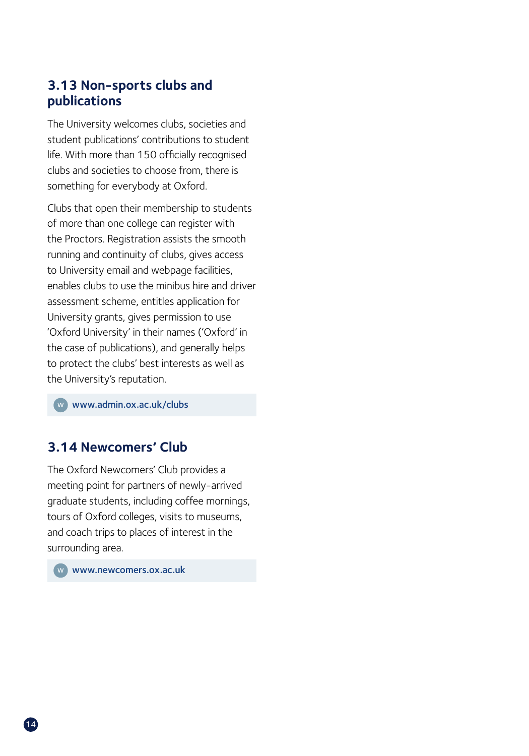## <span id="page-13-0"></span>**3.13 Non-sports clubs and publications**

The University welcomes clubs, societies and student publications' contributions to student life. With more than 150 officially recognised clubs and societies to choose from, there is something for everybody at Oxford.

Clubs that open their membership to students of more than one college can register with the Proctors. Registration assists the smooth running and continuity of clubs, gives access to University email and webpage facilities, enables clubs to use the minibus hire and driver assessment scheme, entitles application for University grants, gives permission to use 'Oxford University' in their names ('Oxford' in the case of publications), and generally helps to protect the clubs' best interests as well as the University's reputation.

w [www.admin.ox.ac.uk/clubs](http://www.admin.ox.ac.uk/clubs/)

## **3.14 Newcomers' Club**

The Oxford Newcomers' Club provides a meeting point for partners of newly-arrived graduate students, including coffee mornings, tours of Oxford colleges, visits to museums, and coach trips to places of interest in the surrounding area.

w [www.newcomers.ox.ac.uk](http://www.newcomers.ox.ac.uk/)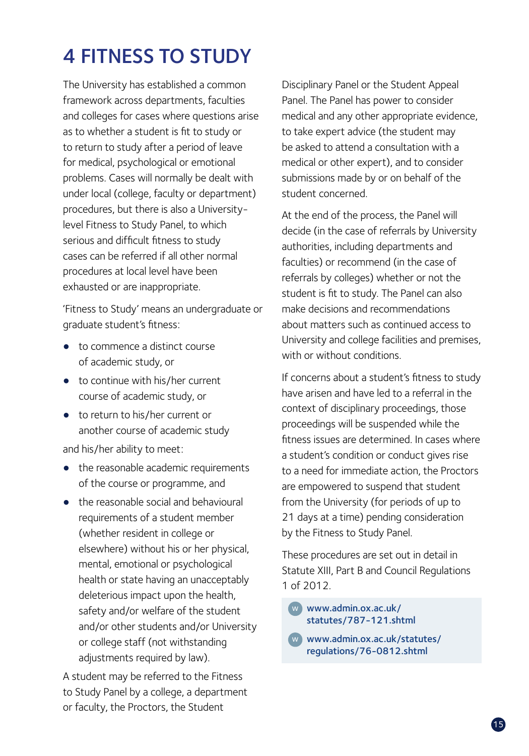# <span id="page-14-0"></span>4 FITNESS TO STUDY

The University has established a common framework across departments, faculties and colleges for cases where questions arise as to whether a student is fit to study or to return to study after a period of leave for medical, psychological or emotional problems. Cases will normally be dealt with under local (college, faculty or department) procedures, but there is also a Universitylevel Fitness to Study Panel, to which serious and difficult fitness to study cases can be referred if all other normal procedures at local level have been exhausted or are inappropriate.

'Fitness to Study' means an undergraduate or graduate student's fitness:

- to commence a distinct course of academic study, or
- to continue with his/her current course of academic study, or
- to return to his/her current or another course of academic study

and his/her ability to meet:

- the reasonable academic requirements of the course or programme, and
- the reasonable social and behavioural requirements of a student member (whether resident in college or elsewhere) without his or her physical, mental, emotional or psychological health or state having an unacceptably deleterious impact upon the health, safety and/or welfare of the student and/or other students and/or University or college staff (not withstanding adjustments required by law).

A student may be referred to the Fitness to Study Panel by a college, a department or faculty, the Proctors, the Student

Disciplinary Panel or the Student Appeal Panel. The Panel has power to consider medical and any other appropriate evidence, to take expert advice (the student may be asked to attend a consultation with a medical or other expert), and to consider submissions made by or on behalf of the student concerned.

At the end of the process, the Panel will decide (in the case of referrals by University authorities, including departments and faculties) or recommend (in the case of referrals by colleges) whether or not the student is fit to study. The Panel can also make decisions and recommendations about matters such as continued access to University and college facilities and premises, with or without conditions.

If concerns about a student's fitness to study have arisen and have led to a referral in the context of disciplinary proceedings, those proceedings will be suspended while the fitness issues are determined. In cases where a student's condition or conduct gives rise to a need for immediate action, the Proctors are empowered to suspend that student from the University (for periods of up to 21 days at a time) pending consideration by the Fitness to Study Panel.

These procedures are set out in detail in Statute XIII, Part B and Council Regulations 1 of 2012.

w [www.admin.ox.ac.uk/](http://www.admin.ox.ac.uk/statutes/787-121.shtml) [statutes/787-121.shtml](http://www.admin.ox.ac.uk/statutes/787-121.shtml)

w [www.admin.ox.ac.uk/statutes/](http://www.admin.ox.ac.uk/statutes/regulations/76-0812.shtml) [regulations/76-0812.shtml](http://www.admin.ox.ac.uk/statutes/regulations/76-0812.shtml)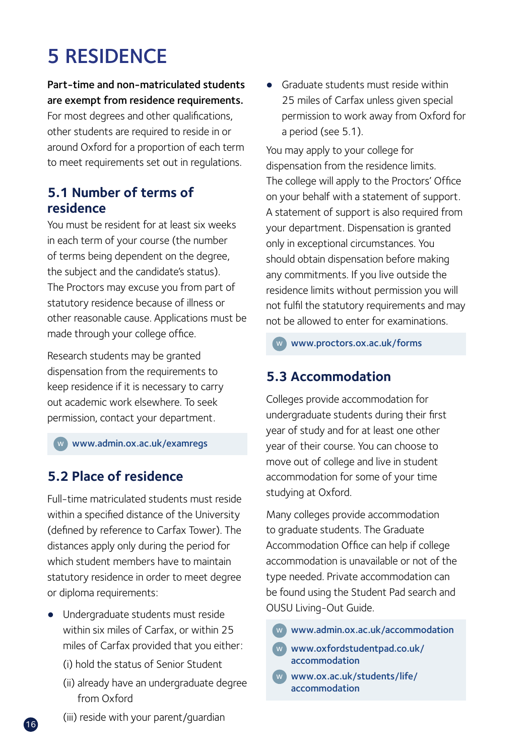# <span id="page-15-0"></span>5 RESIDENCE

## Part-time and non-matriculated students are exempt from residence requirements.

For most degrees and other qualifications, other students are required to reside in or around Oxford for a proportion of each term to meet requirements set out in regulations.

# **5.1 Number of terms of residence**

You must be resident for at least six weeks in each term of your course (the number of terms being dependent on the degree, the subject and the candidate's status). The Proctors may excuse you from part of statutory residence because of illness or other reasonable cause. Applications must be made through your college office.

Research students may be granted dispensation from the requirements to keep residence if it is necessary to carry out academic work elsewhere. To seek permission, contact your department.

w [www.admin.ox.ac.uk/examregs](http://www.admin.ox.ac.uk/examregs/)

# **5.2 Place of residence**

Full-time matriculated students must reside within a specified distance of the University (defined by reference to Carfax Tower). The distances apply only during the period for which student members have to maintain statutory residence in order to meet degree or diploma requirements:

- Undergraduate students must reside within six miles of Carfax, or within 25 miles of Carfax provided that you either: (i) hold the status of Senior Student
	- (ii) already have an undergraduate degree from Oxford

● Graduate students must reside within 25 miles of Carfax unless given special permission to work away from Oxford for a period (see 5.1).

You may apply to your college for dispensation from the residence limits. The college will apply to the Proctors' Office on your behalf with a statement of support. A statement of support is also required from your department. Dispensation is granted only in exceptional circumstances. You should obtain dispensation before making any commitments. If you live outside the residence limits without permission you will not fulfil the statutory requirements and may not be allowed to enter for examinations.

w [www.proctors.ox.ac.uk/forms](http://www.proctors.ox.ac.uk/forms/)

# **5.3 Accommodation**

Colleges provide accommodation for undergraduate students during their first year of study and for at least one other year of their course. You can choose to move out of college and live in student accommodation for some of your time studying at Oxford.

Many colleges provide accommodation to graduate students. The Graduate Accommodation Office can help if college accommodation is unavailable or not of the type needed. Private accommodation can be found using the Student Pad search and OUSU Living-Out Guide.

- w [www.admin.ox.ac.uk/accommodation](http://www.admin.ox.ac.uk/accommodation/)
- w [www.oxfordstudentpad.co.uk/](http://www.oxfordstudentpad.co.uk/accommodation) [accommodation](http://www.oxfordstudentpad.co.uk/accommodation)
- w [www.ox.ac.uk/students/life/](https://www.ox.ac.uk/students/life/accommodation?wssl=1) [accommodation](https://www.ox.ac.uk/students/life/accommodation?wssl=1)
- (iii) reside with your parent/guardian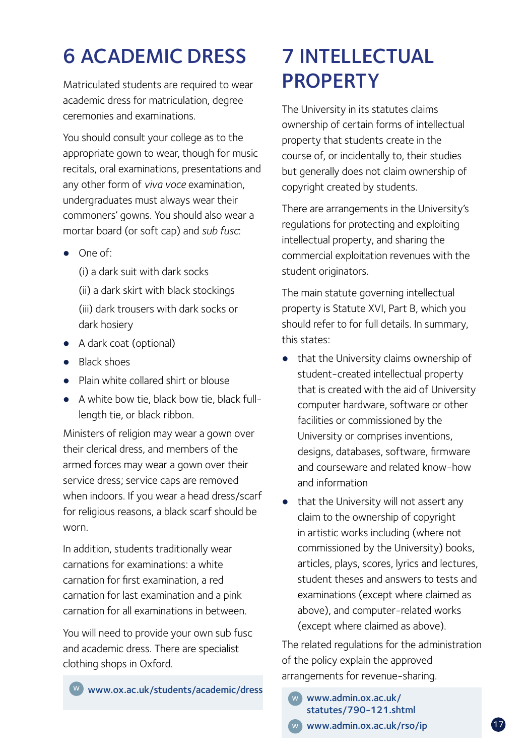# <span id="page-16-0"></span>6 ACADEMIC DRESS

Matriculated students are required to wear academic dress for matriculation, degree ceremonies and examinations.

You should consult your college as to the appropriate gown to wear, though for music recitals, oral examinations, presentations and any other form of *viva voce* examination, undergraduates must always wear their commoners' gowns. You should also wear a mortar board (or soft cap) and *sub fusc*:

- One of:
	- (i) a dark suit with dark socks (ii) a dark skirt with black stockings (iii) dark trousers with dark socks or dark hosiery
- A dark coat (optional)
- Black shoes
- Plain white collared shirt or blouse
- A white bow tie, black bow tie, black fulllength tie, or black ribbon.

Ministers of religion may wear a gown over their clerical dress, and members of the armed forces may wear a gown over their service dress; service caps are removed when indoors. If you wear a head dress/scarf for religious reasons, a black scarf should be worn.

In addition, students traditionally wear carnations for examinations: a white carnation for first examination, a red carnation for last examination and a pink carnation for all examinations in between.

You will need to provide your own sub fusc and academic dress. There are specialist clothing shops in Oxford.

w [www.ox.ac.uk/students/academic/dress](https://www.ox.ac.uk/students/academic/dress?wssl=1)

# 7 INTELLECTUAL **PROPERTY**

The University in its statutes claims ownership of certain forms of intellectual property that students create in the course of, or incidentally to, their studies but generally does not claim ownership of copyright created by students.

There are arrangements in the University's regulations for protecting and exploiting intellectual property, and sharing the commercial exploitation revenues with the student originators.

The main statute governing intellectual property is Statute XVI, Part B, which you should refer to for full details. In summary, this states:

- that the University claims ownership of student-created intellectual property that is created with the aid of University computer hardware, software or other facilities or commissioned by the University or comprises inventions, designs, databases, software, firmware and courseware and related know-how and information
- that the University will not assert any claim to the ownership of copyright in artistic works including (where not commissioned by the University) books, articles, plays, scores, lyrics and lectures, student theses and answers to tests and examinations (except where claimed as above), and computer-related works (except where claimed as above).

The related regulations for the administration of the policy explain the approved arrangements for revenue-sharing.

w [www.admin.ox.ac.uk/](http://www.admin.ox.ac.uk/statutes/790-121.shtml) [statutes/790-121.shtml](http://www.admin.ox.ac.uk/statutes/790-121.shtml)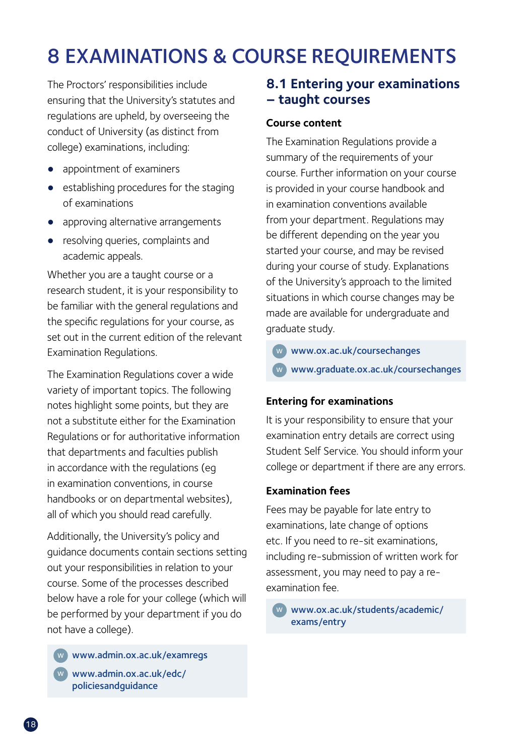# <span id="page-17-0"></span>8 EXAMINATIONS & COURSE REQUIREMENTS

The Proctors' responsibilities include ensuring that the University's statutes and regulations are upheld, by overseeing the conduct of University (as distinct from college) examinations, including:

- appointment of examiners
- establishing procedures for the staging of examinations
- approving alternative arrangements
- resolving queries, complaints and academic appeals.

Whether you are a taught course or a research student, it is your responsibility to be familiar with the general regulations and the specific regulations for your course, as set out in the current edition of the relevant Examination Regulations.

The Examination Regulations cover a wide variety of important topics. The following notes highlight some points, but they are not a substitute either for the Examination Regulations or for authoritative information that departments and faculties publish in accordance with the regulations (eg in examination conventions, in course handbooks or on departmental websites), all of which you should read carefully.

Additionally, the University's policy and guidance documents contain sections setting out your responsibilities in relation to your course. Some of the processes described below have a role for your college (which will be performed by your department if you do not have a college).

w [www.admin.ox.ac.uk/examregs](http://www.admin.ox.ac.uk/examregs/)

w [www.admin.ox.ac.uk/edc/](http://www.admin.ox.ac.uk/edc/policiesandguidance/) [policiesandguidance](http://www.admin.ox.ac.uk/edc/policiesandguidance/)

# **8.1 Entering your examinations – taught courses**

## **Course content**

The Examination Regulations provide a summary of the requirements of your course. Further information on your course is provided in your course handbook and in examination conventions available from your department. Regulations may be different depending on the year you started your course, and may be revised during your course of study. Explanations of the University's approach to the limited situations in which course changes may be made are available for undergraduate and graduate study.

- w [www.ox.ac.uk/coursechanges](https://www.ox.ac.uk/coursechanges)
- w [www.graduate.ox.ac.uk/coursechanges](https://www.ox.ac.uk/admissions/graduate/courses/changes-to-courses?wssl=1)

## **Entering for examinations**

It is your responsibility to ensure that your examination entry details are correct using Student Self Service. You should inform your college or department if there are any errors.

## **Examination fees**

Fees may be payable for late entry to examinations, late change of options etc. If you need to re-sit examinations, including re-submission of written work for assessment, you may need to pay a reexamination fee.

w [www.ox.ac.uk/students/academic/](http://www.ox.ac.uk/students/academic/exams/entry) [exams/entry](http://www.ox.ac.uk/students/academic/exams/entry)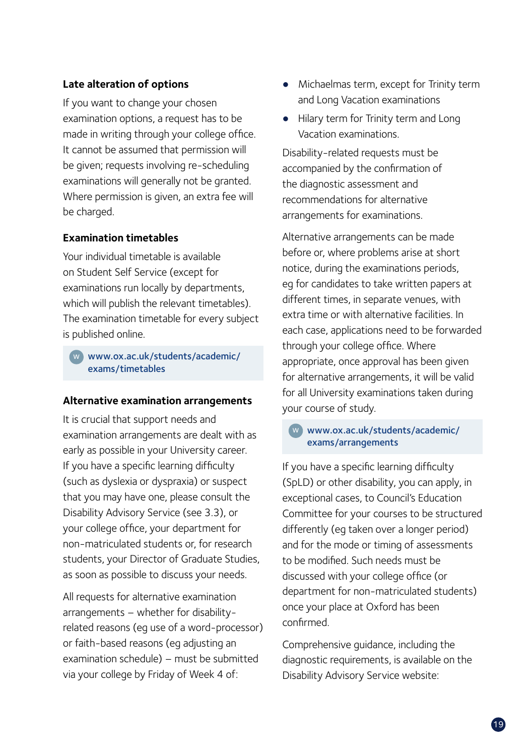## **Late alteration of options**

If you want to change your chosen examination options, a request has to be made in writing through your college office. It cannot be assumed that permission will be given; requests involving re-scheduling examinations will generally not be granted. Where permission is given, an extra fee will be charged.

## **Examination timetables**

Your individual timetable is available on Student Self Service (except for examinations run locally by departments, which will publish the relevant timetables). The examination timetable for every subject is published online.

w [www.ox.ac.uk/students/academic/](https://www.ox.ac.uk/students/academic/exams/timetables?wssl=1) [exams/timetables](https://www.ox.ac.uk/students/academic/exams/timetables?wssl=1)

### **Alternative examination arrangements**

It is crucial that support needs and examination arrangements are dealt with as early as possible in your University career. If you have a specific learning difficulty (such as dyslexia or dyspraxia) or suspect that you may have one, please consult the Disability Advisory Service (see 3.3), or your college office, your department for non-matriculated students or, for research students, your Director of Graduate Studies, as soon as possible to discuss your needs.

All requests for alternative examination arrangements – whether for disabilityrelated reasons (eg use of a word-processor) or faith-based reasons (eg adjusting an examination schedule) – must be submitted via your college by Friday of Week 4 of:

- Michaelmas term, except for Trinity term and Long Vacation examinations
- Hilary term for Trinity term and Long Vacation examinations.

Disability-related requests must be accompanied by the confirmation of the diagnostic assessment and recommendations for alternative arrangements for examinations.

Alternative arrangements can be made before or, where problems arise at short notice, during the examinations periods, eg for candidates to take written papers at different times, in separate venues, with extra time or with alternative facilities. In each case, applications need to be forwarded through your college office. Where appropriate, once approval has been given for alternative arrangements, it will be valid for all University examinations taken during your course of study.

#### w [www.ox.ac.uk/students/academic/](https://www.ox.ac.uk/students/academic/exams/arrangements?wssl=1) [exams/arrangements](https://www.ox.ac.uk/students/academic/exams/arrangements?wssl=1)

If you have a specific learning difficulty (SpLD) or other disability, you can apply, in exceptional cases, to Council's Education Committee for your courses to be structured differently (eg taken over a longer period) and for the mode or timing of assessments to be modified. Such needs must be discussed with your college office (or department for non-matriculated students) once your place at Oxford has been confirmed.

Comprehensive guidance, including the diagnostic requirements, is available on the Disability Advisory Service website: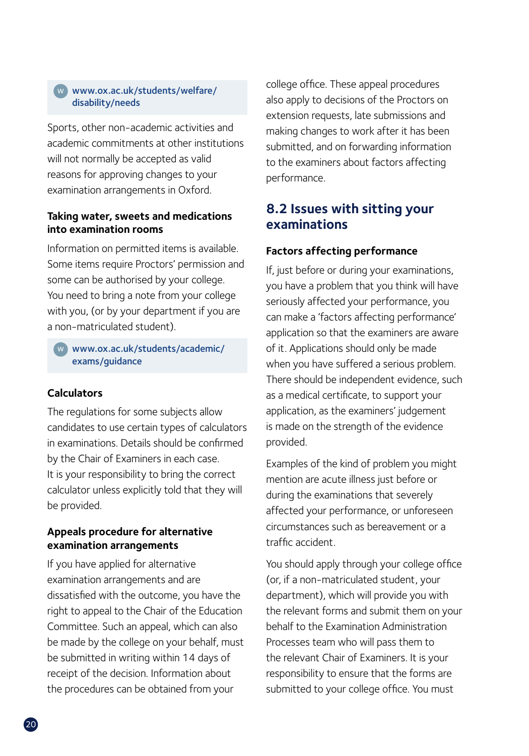#### <span id="page-19-0"></span>w [www.ox.ac.uk/students/welfare/](https://www.ox.ac.uk/students/welfare/disability/needs?wssl=1) [disability/needs](https://www.ox.ac.uk/students/welfare/disability/needs?wssl=1)

Sports, other non-academic activities and academic commitments at other institutions will not normally be accepted as valid reasons for approving changes to your examination arrangements in Oxford.

## **Taking water, sweets and medications into examination rooms**

Information on permitted items is available. Some items require Proctors' permission and some can be authorised by your college. You need to bring a note from your college with you, (or by your department if you are a non-matriculated student).

w [www.ox.ac.uk/students/academic/](https://www.ox.ac.uk/students/academic/exams/guidance?wssl=1) [exams/guidance](https://www.ox.ac.uk/students/academic/exams/guidance?wssl=1)

## **Calculators**

The regulations for some subjects allow candidates to use certain types of calculators in examinations. Details should be confirmed by the Chair of Examiners in each case. It is your responsibility to bring the correct calculator unless explicitly told that they will be provided.

#### **Appeals procedure for alternative examination arrangements**

If you have applied for alternative examination arrangements and are dissatisfied with the outcome, you have the right to appeal to the Chair of the Education Committee. Such an appeal, which can also be made by the college on your behalf, must be submitted in writing within 14 days of receipt of the decision. Information about the procedures can be obtained from your

college office. These appeal procedures also apply to decisions of the Proctors on extension requests, late submissions and making changes to work after it has been submitted, and on forwarding information to the examiners about factors affecting performance.

## **8.2 Issues with sitting your examinations**

## **Factors affecting performance**

If, just before or during your examinations, you have a problem that you think will have seriously affected your performance, you can make a 'factors affecting performance' application so that the examiners are aware of it. Applications should only be made when you have suffered a serious problem. There should be independent evidence, such as a medical certificate, to support your application, as the examiners' judgement is made on the strength of the evidence provided.

Examples of the kind of problem you might mention are acute illness just before or during the examinations that severely affected your performance, or unforeseen circumstances such as bereavement or a traffic accident.

You should apply through your college office (or, if a non-matriculated student, your department), which will provide you with the relevant forms and submit them on your behalf to the Examination Administration Processes team who will pass them to the relevant Chair of Examiners. It is your responsibility to ensure that the forms are submitted to your college office. You must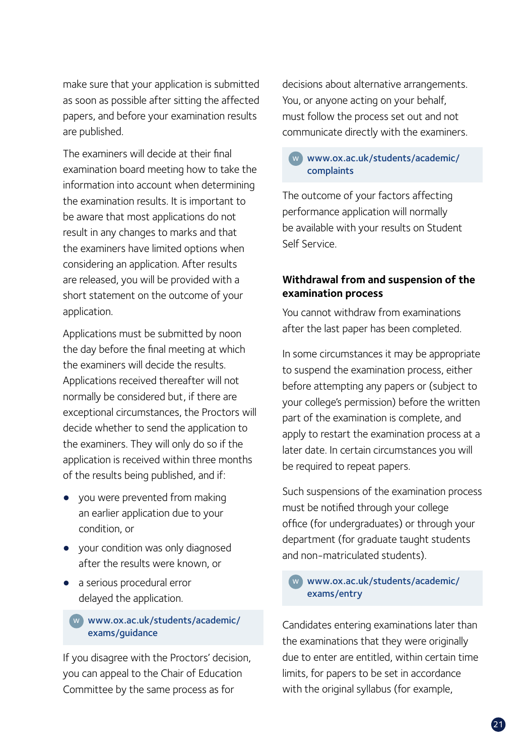make sure that your application is submitted as soon as possible after sitting the affected papers, and before your examination results are published.

The examiners will decide at their final examination board meeting how to take the information into account when determining the examination results. It is important to be aware that most applications do not result in any changes to marks and that the examiners have limited options when considering an application. After results are released, you will be provided with a short statement on the outcome of your application.

Applications must be submitted by noon the day before the final meeting at which the examiners will decide the results. Applications received thereafter will not normally be considered but, if there are exceptional circumstances, the Proctors will decide whether to send the application to the examiners. They will only do so if the application is received within three months of the results being published, and if:

- you were prevented from making an earlier application due to your condition, or
- your condition was only diagnosed after the results were known, or
- a serious procedural error delayed the application.

### w [www.ox.ac.uk/students/academic/](https://www.ox.ac.uk/students/academic/exams/guidance?wssl=1) [exams/guidance](https://www.ox.ac.uk/students/academic/exams/guidance?wssl=1)

If you disagree with the Proctors' decision, you can appeal to the Chair of Education Committee by the same process as for

decisions about alternative arrangements. You, or anyone acting on your behalf, must follow the process set out and not communicate directly with the examiners.

w [www.ox.ac.uk/students/academic/](https://www.ox.ac.uk/students/academic/complaints?wssl=1) [complaints](https://www.ox.ac.uk/students/academic/complaints?wssl=1)

The outcome of your factors affecting performance application will normally be available with your results on Student Self Service.

## **Withdrawal from and suspension of the examination process**

You cannot withdraw from examinations after the last paper has been completed.

In some circumstances it may be appropriate to suspend the examination process, either before attempting any papers or (subject to your college's permission) before the written part of the examination is complete, and apply to restart the examination process at a later date. In certain circumstances you will be required to repeat papers.

Such suspensions of the examination process must be notified through your college office (for undergraduates) or through your department (for graduate taught students and non-matriculated students).

## w [www.ox.ac.uk/students/academic/](https://www.ox.ac.uk/students/academic/exams/entry?wssl=1) [exams/entry](https://www.ox.ac.uk/students/academic/exams/entry?wssl=1)

Candidates entering examinations later than the examinations that they were originally due to enter are entitled, within certain time limits, for papers to be set in accordance with the original syllabus (for example,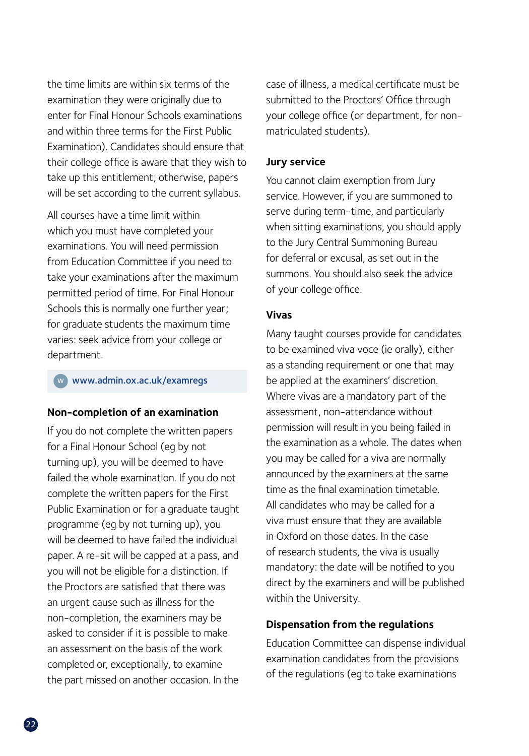the time limits are within six terms of the examination they were originally due to enter for Final Honour Schools examinations and within three terms for the First Public Examination). Candidates should ensure that their college office is aware that they wish to take up this entitlement; otherwise, papers will be set according to the current syllabus.

All courses have a time limit within which you must have completed your examinations. You will need permission from Education Committee if you need to take your examinations after the maximum permitted period of time. For Final Honour Schools this is normally one further year; for graduate students the maximum time varies: seek advice from your college or department.

## w [www.admin.ox.ac.uk/examregs](http://www.admin.ox.ac.uk/examregs/)

#### **Non-completion of an examination**

If you do not complete the written papers for a Final Honour School (eg by not turning up), you will be deemed to have failed the whole examination. If you do not complete the written papers for the First Public Examination or for a graduate taught programme (eg by not turning up), you will be deemed to have failed the individual paper. A re-sit will be capped at a pass, and you will not be eligible for a distinction. If the Proctors are satisfied that there was an urgent cause such as illness for the non-completion, the examiners may be asked to consider if it is possible to make an assessment on the basis of the work completed or, exceptionally, to examine the part missed on another occasion. In the

case of illness, a medical certificate must be submitted to the Proctors' Office through your college office (or department, for nonmatriculated students).

#### **Jury service**

You cannot claim exemption from Jury service. However, if you are summoned to serve during term-time, and particularly when sitting examinations, you should apply to the Jury Central Summoning Bureau for deferral or excusal, as set out in the summons. You should also seek the advice of your college office.

#### **Vivas**

Many taught courses provide for candidates to be examined viva voce (ie orally), either as a standing requirement or one that may be applied at the examiners' discretion. Where vivas are a mandatory part of the assessment, non-attendance without permission will result in you being failed in the examination as a whole. The dates when you may be called for a viva are normally announced by the examiners at the same time as the final examination timetable. All candidates who may be called for a viva must ensure that they are available in Oxford on those dates. In the case of research students, the viva is usually mandatory: the date will be notified to you direct by the examiners and will be published within the University.

## **Dispensation from the regulations**

Education Committee can dispense individual examination candidates from the provisions of the regulations (eg to take examinations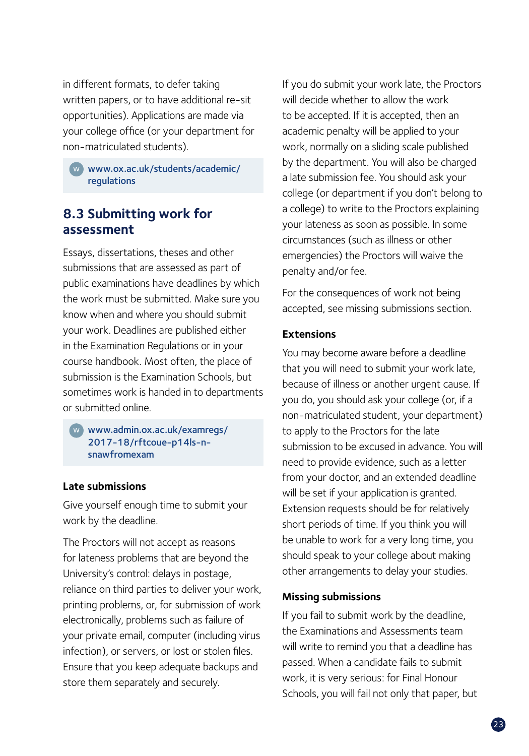<span id="page-22-0"></span>in different formats, to defer taking written papers, or to have additional re-sit opportunities). Applications are made via your college office (or your department for non-matriculated students).

w [www.ox.ac.uk/students/academic/](https://www.ox.ac.uk/students/academic/regulations?wssl=1) [regulations](https://www.ox.ac.uk/students/academic/regulations?wssl=1)

## **8.3 Submitting work for assessment**

Essays, dissertations, theses and other submissions that are assessed as part of public examinations have deadlines by which the work must be submitted. Make sure you know when and where you should submit your work. Deadlines are published either in the Examination Regulations or in your course handbook. Most often, the place of submission is the Examination Schools, but sometimes work is handed in to departments or submitted online.

w [www.admin.ox.ac.uk/examregs/](http://www.admin.ox.ac.uk/examregs/2014-15/rftcoue-p14ls-n-snawfromexam/) [2017-18/rftcoue-p14ls-n](http://www.admin.ox.ac.uk/examregs/2014-15/rftcoue-p14ls-n-snawfromexam/)[snawfromexam](http://www.admin.ox.ac.uk/examregs/2014-15/rftcoue-p14ls-n-snawfromexam/)

## **Late submissions**

Give yourself enough time to submit your work by the deadline.

The Proctors will not accept as reasons for lateness problems that are beyond the University's control: delays in postage, reliance on third parties to deliver your work, printing problems, or, for submission of work electronically, problems such as failure of your private email, computer (including virus infection), or servers, or lost or stolen files. Ensure that you keep adequate backups and store them separately and securely.

If you do submit your work late, the Proctors will decide whether to allow the work to be accepted. If it is accepted, then an academic penalty will be applied to your work, normally on a sliding scale published by the department. You will also be charged a late submission fee. You should ask your college (or department if you don't belong to a college) to write to the Proctors explaining your lateness as soon as possible. In some circumstances (such as illness or other emergencies) the Proctors will waive the penalty and/or fee.

For the consequences of work not being accepted, see missing submissions section.

## **Extensions**

You may become aware before a deadline that you will need to submit your work late, because of illness or another urgent cause. If you do, you should ask your college (or, if a non-matriculated student, your department) to apply to the Proctors for the late submission to be excused in advance. You will need to provide evidence, such as a letter from your doctor, and an extended deadline will be set if your application is granted. Extension requests should be for relatively short periods of time. If you think you will be unable to work for a very long time, you should speak to your college about making other arrangements to delay your studies.

#### **Missing submissions**

If you fail to submit work by the deadline, the Examinations and Assessments team will write to remind you that a deadline has passed. When a candidate fails to submit work, it is very serious: for Final Honour Schools, you will fail not only that paper, but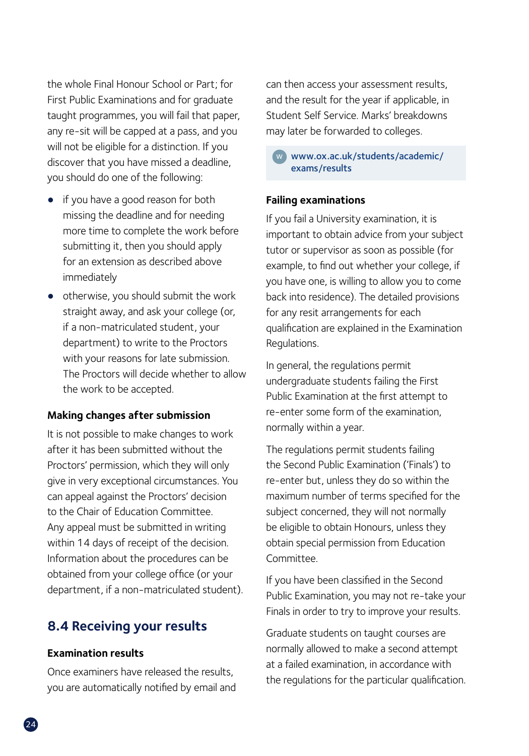<span id="page-23-0"></span>the whole Final Honour School or Part; for First Public Examinations and for graduate taught programmes, you will fail that paper, any re-sit will be capped at a pass, and you will not be eligible for a distinction. If you discover that you have missed a deadline, you should do one of the following:

- if you have a good reason for both missing the deadline and for needing more time to complete the work before submitting it, then you should apply for an extension as described above immediately
- otherwise, you should submit the work straight away, and ask your college (or, if a non-matriculated student, your department) to write to the Proctors with your reasons for late submission. The Proctors will decide whether to allow the work to be accepted.

### **Making changes after submission**

It is not possible to make changes to work after it has been submitted without the Proctors' permission, which they will only give in very exceptional circumstances. You can appeal against the Proctors' decision to the Chair of Education Committee. Any appeal must be submitted in writing within 14 days of receipt of the decision. Information about the procedures can be obtained from your college office (or your department, if a non-matriculated student).

## **8.4 Receiving your results**

#### **Examination results**

Once examiners have released the results, you are automatically notified by email and can then access your assessment results, and the result for the year if applicable, in Student Self Service. Marks' breakdowns may later be forwarded to colleges.

w [www.ox.ac.uk/students/academic/](https://www.ox.ac.uk/students/academic/exams/results?wssl=1) [exams/results](https://www.ox.ac.uk/students/academic/exams/results?wssl=1)

#### **Failing examinations**

If you fail a University examination, it is important to obtain advice from your subject tutor or supervisor as soon as possible (for example, to find out whether your college, if you have one, is willing to allow you to come back into residence). The detailed provisions for any resit arrangements for each qualification are explained in the Examination Regulations.

In general, the regulations permit undergraduate students failing the First Public Examination at the first attempt to re-enter some form of the examination, normally within a year.

The regulations permit students failing the Second Public Examination ('Finals') to re-enter but, unless they do so within the maximum number of terms specified for the subject concerned, they will not normally be eligible to obtain Honours, unless they obtain special permission from Education Committee.

If you have been classified in the Second Public Examination, you may not re-take your Finals in order to try to improve your results.

Graduate students on taught courses are normally allowed to make a second attempt at a failed examination, in accordance with the regulations for the particular qualification.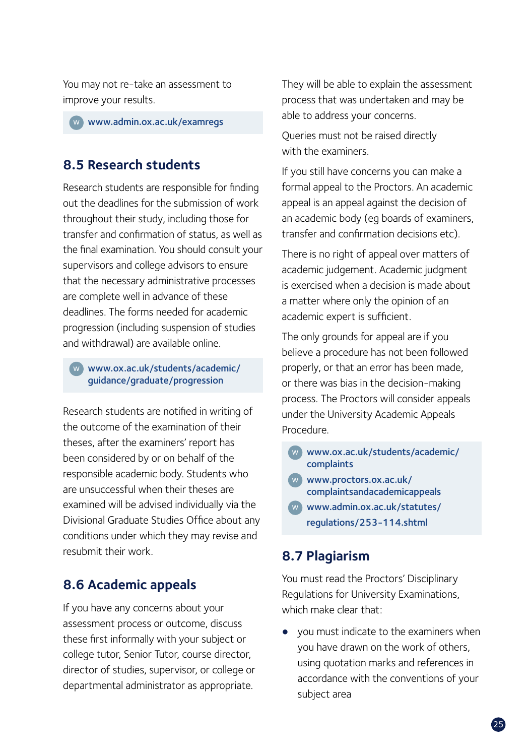<span id="page-24-0"></span>You may not re-take an assessment to improve your results.

w [www.admin.ox.ac.uk/examregs](http://www.admin.ox.ac.uk/examregs/)

## **8.5 Research students**

Research students are responsible for finding out the deadlines for the submission of work throughout their study, including those for transfer and confirmation of status, as well as the final examination. You should consult your supervisors and college advisors to ensure that the necessary administrative processes are complete well in advance of these deadlines. The forms needed for academic progression (including suspension of studies and withdrawal) are available online.

w [www.ox.ac.uk/students/academic/](https://www.ox.ac.uk/students/academic/guidance/graduate/progression?wssl=1) [guidance/graduate/progression](https://www.ox.ac.uk/students/academic/guidance/graduate/progression?wssl=1)

Research students are notified in writing of the outcome of the examination of their theses, after the examiners' report has been considered by or on behalf of the responsible academic body. Students who are unsuccessful when their theses are examined will be advised individually via the Divisional Graduate Studies Office about any conditions under which they may revise and resubmit their work.

## **8.6 Academic appeals**

If you have any concerns about your assessment process or outcome, discuss these first informally with your subject or college tutor, Senior Tutor, course director, director of studies, supervisor, or college or departmental administrator as appropriate.

They will be able to explain the assessment process that was undertaken and may be able to address your concerns.

Queries must not be raised directly with the examiners.

If you still have concerns you can make a formal appeal to the Proctors. An academic appeal is an appeal against the decision of an academic body (eg boards of examiners, transfer and confirmation decisions etc).

There is no right of appeal over matters of academic judgement. Academic judgment is exercised when a decision is made about a matter where only the opinion of an academic expert is sufficient.

The only grounds for appeal are if you believe a procedure has not been followed properly, or that an error has been made, or there was bias in the decision-making process. The Proctors will consider appeals under the University Academic Appeals Procedure.

- w [www.ox.ac.uk/students/academic/](https://www.ox.ac.uk/students/academic/complaints?wssl=1) [complaints](https://www.ox.ac.uk/students/academic/complaints?wssl=1)
- w www.proctors.ox.ac.uk/ complaintsandacademicappeals
- w [www.admin.ox.ac.uk/statutes/](http://www.admin.ox.ac.uk/statutes/regulations/253-114.shtml) [regulations/253-114.shtml](http://www.admin.ox.ac.uk/statutes/regulations/253-114.shtml)

## **8.7 Plagiarism**

You must read the Proctors' Disciplinary Regulations for University Examinations, which make clear that:

● you must indicate to the examiners when you have drawn on the work of others, using quotation marks and references in accordance with the conventions of your subject area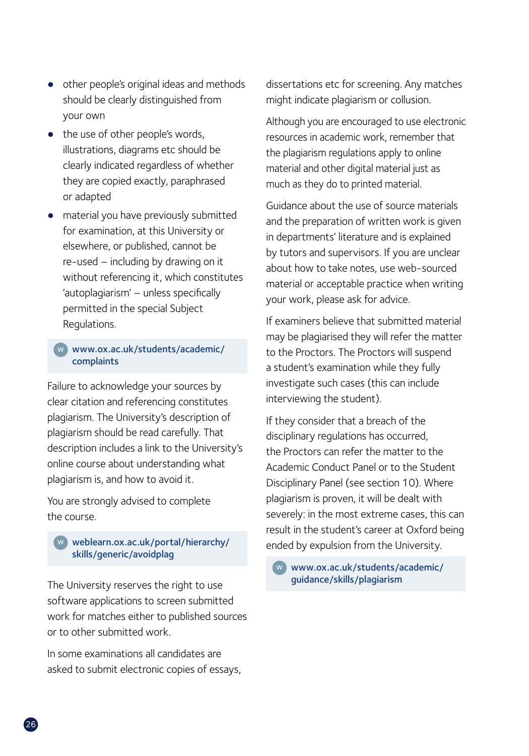- other people's original ideas and methods should be clearly distinguished from your own
- the use of other people's words, illustrations, diagrams etc should be clearly indicated regardless of whether they are copied exactly, paraphrased or adapted
- material you have previously submitted for examination, at this University or elsewhere, or published, cannot be re-used – including by drawing on it without referencing it, which constitutes 'autoplagiarism' – unless specifically permitted in the special Subject Regulations.

#### w [www.ox.ac.uk/students/academic/](https://www.ox.ac.uk/students/academic/complaints?wssl=1) [complaints](https://www.ox.ac.uk/students/academic/complaints?wssl=1)

Failure to acknowledge your sources by clear citation and referencing constitutes plagiarism. The University's description of plagiarism should be read carefully. That description includes a link to the University's online course about understanding what plagiarism is, and how to avoid it.

You are strongly advised to complete the course.

## w [weblearn.ox.ac.uk/portal/hierarchy/](https://weblearn.ox.ac.uk/portal/hierarchy/skills/generic/avoidplag) [skills/generic/avoidplag](https://weblearn.ox.ac.uk/portal/hierarchy/skills/generic/avoidplag)

The University reserves the right to use software applications to screen submitted work for matches either to published sources or to other submitted work.

In some examinations all candidates are asked to submit electronic copies of essays, dissertations etc for screening. Any matches might indicate plagiarism or collusion.

Although you are encouraged to use electronic resources in academic work, remember that the plagiarism regulations apply to online material and other digital material just as much as they do to printed material.

Guidance about the use of source materials and the preparation of written work is given in departments' literature and is explained by tutors and supervisors. If you are unclear about how to take notes, use web-sourced material or acceptable practice when writing your work, please ask for advice.

If examiners believe that submitted material may be plagiarised they will refer the matter to the Proctors. The Proctors will suspend a student's examination while they fully investigate such cases (this can include interviewing the student).

If they consider that a breach of the disciplinary regulations has occurred, the Proctors can refer the matter to the Academic Conduct Panel or to the Student Disciplinary Panel (see section 10). Where plagiarism is proven, it will be dealt with severely: in the most extreme cases, this can result in the student's career at Oxford being ended by expulsion from the University.

w [www.ox.ac.uk/students/academic/](https://www.ox.ac.uk/students/academic/guidance/skills/plagiarism?wssl=1) [guidance/skills/plagiarism](https://www.ox.ac.uk/students/academic/guidance/skills/plagiarism?wssl=1)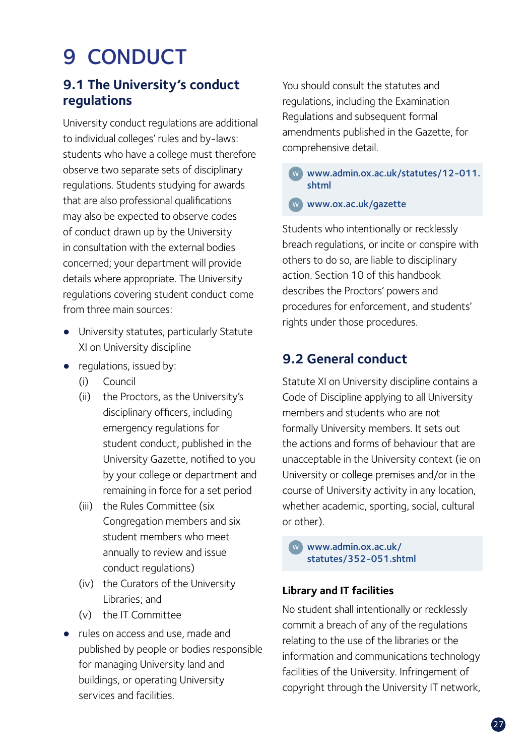# <span id="page-26-0"></span>9 CONDUCT

# **9.1 The University's conduct regulations**

University conduct regulations are additional to individual colleges' rules and by-laws: students who have a college must therefore observe two separate sets of disciplinary regulations. Students studying for awards that are also professional qualifications may also be expected to observe codes of conduct drawn up by the University in consultation with the external bodies concerned; your department will provide details where appropriate. The University regulations covering student conduct come from three main sources:

- University statutes, particularly Statute XI on University discipline
- regulations, issued by:
	- (i) Council
	- (ii) the Proctors, as the University's disciplinary officers, including emergency regulations for student conduct, published in the University Gazette, notified to you by your college or department and remaining in force for a set period
	- (iii) the Rules Committee (six Congregation members and six student members who meet annually to review and issue conduct regulations)
	- (iv) the Curators of the University Libraries; and
	- (v) the IT Committee
- rules on access and use, made and published by people or bodies responsible for managing University land and buildings, or operating University services and facilities.

You should consult the statutes and regulations, including the Examination Regulations and subsequent formal amendments published in the Gazette, for comprehensive detail.

w [www.admin.ox.ac.uk/statutes/12-011.](http://www.admin.ox.ac.uk/statutes/12-011.shtml) [shtml](http://www.admin.ox.ac.uk/statutes/12-011.shtml)

# w [www.ox.ac.uk/gazette](https://www.ox.ac.uk/gazette/)

Students who intentionally or recklessly breach regulations, or incite or conspire with others to do so, are liable to disciplinary action. Section 10 of this handbook describes the Proctors' powers and procedures for enforcement, and students' rights under those procedures.

# **9.2 General conduct**

Statute XI on University discipline contains a Code of Discipline applying to all University members and students who are not formally University members. It sets out the actions and forms of behaviour that are unacceptable in the University context (ie on University or college premises and/or in the course of University activity in any location, whether academic, sporting, social, cultural or other).

w [www.admin.ox.ac.uk/](http://www.admin.ox.ac.uk/statutes/352-051.shtml) [statutes/352-051.shtml](http://www.admin.ox.ac.uk/statutes/352-051.shtml)

## **Library and IT facilities**

No student shall intentionally or recklessly commit a breach of any of the regulations relating to the use of the libraries or the information and communications technology facilities of the University. Infringement of copyright through the University IT network,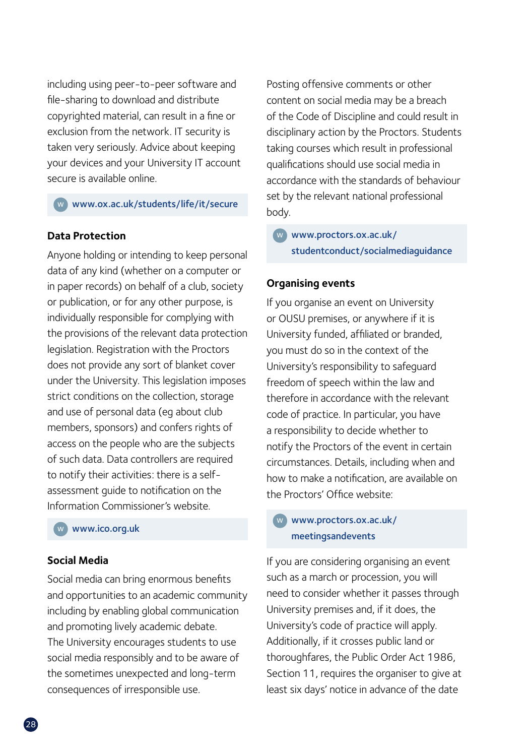including using peer-to-peer software and file-sharing to download and distribute copyrighted material, can result in a fine or exclusion from the network. IT security is taken very seriously. Advice about keeping your devices and your University IT account secure is available online.

# w [www.ox.ac.uk/students/life/it/secure](https://www.ox.ac.uk/students/life/it/secure?wssl=1)

## **Data Protection**

Anyone holding or intending to keep personal data of any kind (whether on a computer or in paper records) on behalf of a club, society or publication, or for any other purpose, is individually responsible for complying with the provisions of the relevant data protection legislation. Registration with the Proctors does not provide any sort of blanket cover under the University. This legislation imposes strict conditions on the collection, storage and use of personal data (eg about club members, sponsors) and confers rights of access on the people who are the subjects of such data. Data controllers are required to notify their activities: there is a selfassessment guide to notification on the Information Commissioner's website.

## w www.[ico.org.uk](https://ico.org.uk/)

#### **Social Media**

Social media can bring enormous benefits and opportunities to an academic community including by enabling global communication and promoting lively academic debate. The University encourages students to use social media responsibly and to be aware of the sometimes unexpected and long-term consequences of irresponsible use.

Posting offensive comments or other content on social media may be a breach of the Code of Discipline and could result in disciplinary action by the Proctors. Students taking courses which result in professional qualifications should use social media in accordance with the standards of behaviour set by the relevant national professional body.

w www.proctors.ox.ac.uk/ studentconduct/socialmediaguidance

#### **Organising events**

If you organise an event on University or OUSU premises, or anywhere if it is University funded, affiliated or branded, you must do so in the context of the University's responsibility to safeguard freedom of speech within the law and therefore in accordance with the relevant code of practice. In particular, you have a responsibility to decide whether to notify the Proctors of the event in certain circumstances. Details, including when and how to make a notification, are available on the Proctors' Office website:

## w www.proctors.ox.ac.uk/ meetingsandevents

If you are considering organising an event such as a march or procession, you will need to consider whether it passes through University premises and, if it does, the University's code of practice will apply. Additionally, if it crosses public land or thoroughfares, the Public Order Act 1986, Section 11, requires the organiser to give at least six days' notice in advance of the date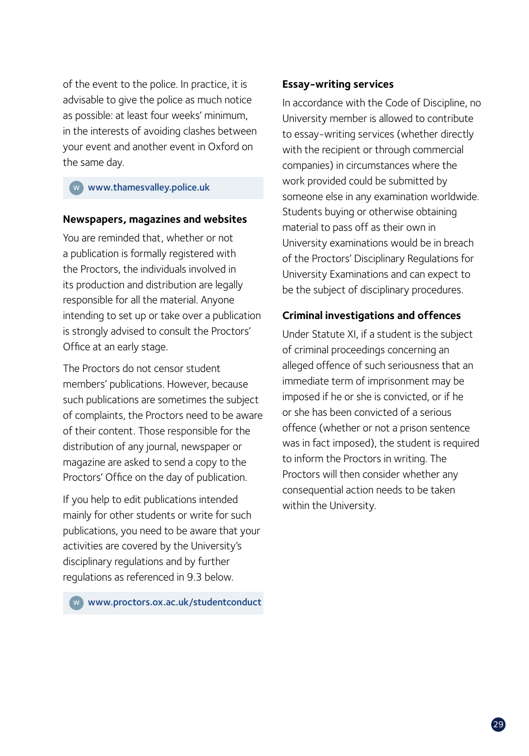of the event to the police. In practice, it is advisable to give the police as much notice as possible: at least four weeks' minimum, in the interests of avoiding clashes between your event and another event in Oxford on the same day.

#### w www.thamesvalley.police.uk

#### **Newspapers, magazines and websites**

You are reminded that, whether or not a publication is formally registered with the Proctors, the individuals involved in its production and distribution are legally responsible for all the material. Anyone intending to set up or take over a publication is strongly advised to consult the Proctors' Office at an early stage.

The Proctors do not censor student members' publications. However, because such publications are sometimes the subject of complaints, the Proctors need to be aware of their content. Those responsible for the distribution of any journal, newspaper or magazine are asked to send a copy to the Proctors' Office on the day of publication.

If you help to edit publications intended mainly for other students or write for such publications, you need to be aware that your activities are covered by the University's disciplinary regulations and by further regulations as referenced in 9.3 below.

w [www.proctors.ox.ac.uk/studentconduct](http://www.proctors.ox.ac.uk/studentconduct/)

#### **Essay-writing services**

In accordance with the Code of Discipline, no University member is allowed to contribute to essay-writing services (whether directly with the recipient or through commercial companies) in circumstances where the work provided could be submitted by someone else in any examination worldwide. Students buying or otherwise obtaining material to pass off as their own in University examinations would be in breach of the Proctors' Disciplinary Regulations for University Examinations and can expect to be the subject of disciplinary procedures.

## **Criminal investigations and offences**

Under Statute XI, if a student is the subject of criminal proceedings concerning an alleged offence of such seriousness that an immediate term of imprisonment may be imposed if he or she is convicted, or if he or she has been convicted of a serious offence (whether or not a prison sentence was in fact imposed), the student is required to inform the Proctors in writing. The Proctors will then consider whether any consequential action needs to be taken within the University.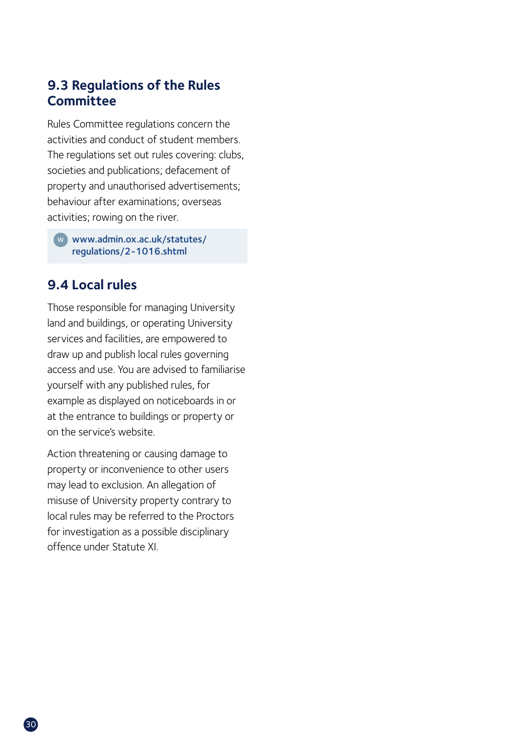# <span id="page-29-0"></span>**9.3 Regulations of the Rules Committee**

Rules Committee regulations concern the activities and conduct of student members. The regulations set out rules covering: clubs, societies and publications; defacement of property and unauthorised advertisements; behaviour after examinations; overseas activities; rowing on the river.

w [www.admin.ox.ac.uk/statutes/](https://www.admin.ox.ac.uk/statutes/regulations/2-1016.shtml) [regulations/2-1016.shtml](https://www.admin.ox.ac.uk/statutes/regulations/2-1016.shtml)

## **9.4 Local rules**

Those responsible for managing University land and buildings, or operating University services and facilities, are empowered to draw up and publish local rules governing access and use. You are advised to familiarise yourself with any published rules, for example as displayed on noticeboards in or at the entrance to buildings or property or on the service's website.

Action threatening or causing damage to property or inconvenience to other users may lead to exclusion. An allegation of misuse of University property contrary to local rules may be referred to the Proctors for investigation as a possible disciplinary offence under Statute XI.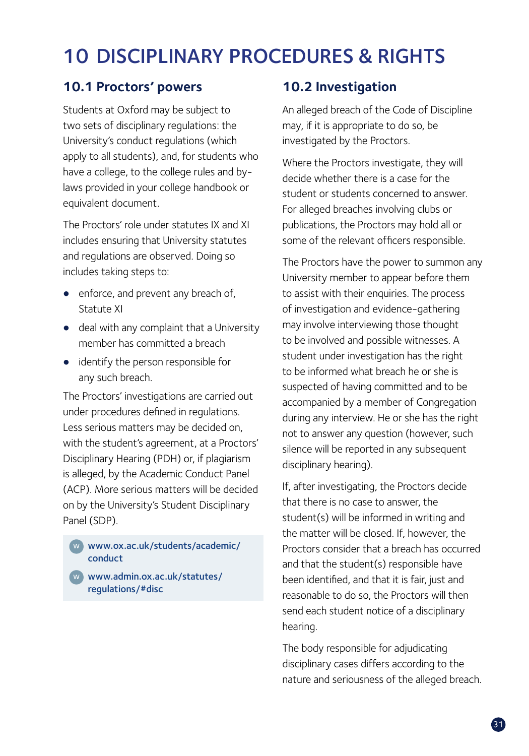# <span id="page-30-0"></span>10 DISCIPLINARY PROCEDURES & RIGHTS

# **10.1 Proctors' powers**

Students at Oxford may be subject to two sets of disciplinary regulations: the University's conduct regulations (which apply to all students), and, for students who have a college, to the college rules and bylaws provided in your college handbook or equivalent document.

The Proctors' role under statutes IX and XI includes ensuring that University statutes and regulations are observed. Doing so includes taking steps to:

- enforce, and prevent any breach of, Statute XI
- deal with any complaint that a University member has committed a breach
- identify the person responsible for any such breach.

The Proctors' investigations are carried out under procedures defined in regulations. Less serious matters may be decided on, with the student's agreement, at a Proctors' Disciplinary Hearing (PDH) or, if plagiarism is alleged, by the Academic Conduct Panel (ACP). More serious matters will be decided on by the University's Student Disciplinary Panel (SDP).

### w [www.ox.ac.uk/students/academic/](https://www.ox.ac.uk/students/academic/conduct?wssl=1) [conduct](https://www.ox.ac.uk/students/academic/conduct?wssl=1)

w [www.admin.ox.ac.uk/statutes/](http://www.admin.ox.ac.uk/statutes/regulations/#disc) [regulations/#disc](http://www.admin.ox.ac.uk/statutes/regulations/#disc) 

# **10.2 Investigation**

An alleged breach of the Code of Discipline may, if it is appropriate to do so, be investigated by the Proctors.

Where the Proctors investigate, they will decide whether there is a case for the student or students concerned to answer. For alleged breaches involving clubs or publications, the Proctors may hold all or some of the relevant officers responsible.

The Proctors have the power to summon any University member to appear before them to assist with their enquiries. The process of investigation and evidence-gathering may involve interviewing those thought to be involved and possible witnesses. A student under investigation has the right to be informed what breach he or she is suspected of having committed and to be accompanied by a member of Congregation during any interview. He or she has the right not to answer any question (however, such silence will be reported in any subsequent disciplinary hearing).

If, after investigating, the Proctors decide that there is no case to answer, the student(s) will be informed in writing and the matter will be closed. If, however, the Proctors consider that a breach has occurred and that the student(s) responsible have been identified, and that it is fair, just and reasonable to do so, the Proctors will then send each student notice of a disciplinary hearing.

The body responsible for adjudicating disciplinary cases differs according to the nature and seriousness of the alleged breach.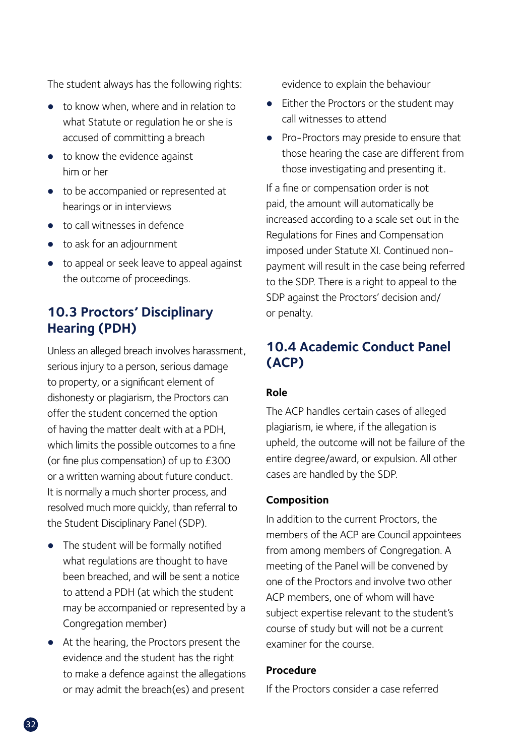<span id="page-31-0"></span>The student always has the following rights:

- to know when, where and in relation to what Statute or regulation he or she is accused of committing a breach
- to know the evidence against him or her
- to be accompanied or represented at hearings or in interviews
- to call witnesses in defence
- to ask for an adjournment
- to appeal or seek leave to appeal against the outcome of proceedings.

## **10.3 Proctors' Disciplinary Hearing (PDH)**

Unless an alleged breach involves harassment, serious injury to a person, serious damage to property, or a significant element of dishonesty or plagiarism, the Proctors can offer the student concerned the option of having the matter dealt with at a PDH, which limits the possible outcomes to a fine (or fine plus compensation) of up to £300 or a written warning about future conduct. It is normally a much shorter process, and resolved much more quickly, than referral to the Student Disciplinary Panel (SDP).

- The student will be formally notified what regulations are thought to have been breached, and will be sent a notice to attend a PDH (at which the student may be accompanied or represented by a Congregation member)
- At the hearing, the Proctors present the evidence and the student has the right to make a defence against the allegations or may admit the breach(es) and present

evidence to explain the behaviour

- Either the Proctors or the student may call witnesses to attend
- Pro-Proctors may preside to ensure that those hearing the case are different from those investigating and presenting it.

If a fine or compensation order is not paid, the amount will automatically be increased according to a scale set out in the Regulations for Fines and Compensation imposed under Statute XI. Continued nonpayment will result in the case being referred to the SDP. There is a right to appeal to the SDP against the Proctors' decision and/ or penalty.

## **10.4 Academic Conduct Panel (ACP)**

#### **Role**

The ACP handles certain cases of alleged plagiarism, ie where, if the allegation is upheld, the outcome will not be failure of the entire degree/award, or expulsion. All other cases are handled by the SDP.

#### **Composition**

In addition to the current Proctors, the members of the ACP are Council appointees from among members of Congregation. A meeting of the Panel will be convened by one of the Proctors and involve two other ACP members, one of whom will have subject expertise relevant to the student's course of study but will not be a current examiner for the course.

### **Procedure**

If the Proctors consider a case referred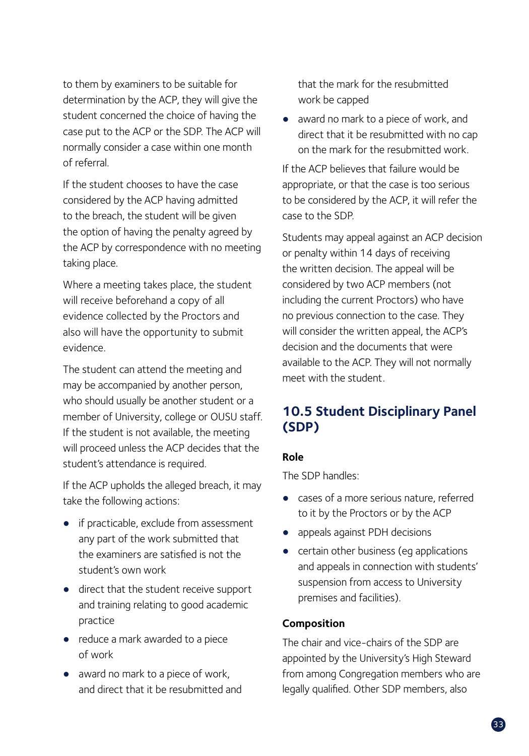<span id="page-32-0"></span>to them by examiners to be suitable for determination by the ACP, they will give the student concerned the choice of having the case put to the ACP or the SDP. The ACP will normally consider a case within one month of referral.

If the student chooses to have the case considered by the ACP having admitted to the breach, the student will be given the option of having the penalty agreed by the ACP by correspondence with no meeting taking place.

Where a meeting takes place, the student will receive beforehand a copy of all evidence collected by the Proctors and also will have the opportunity to submit evidence.

The student can attend the meeting and may be accompanied by another person, who should usually be another student or a member of University, college or OUSU staff. If the student is not available, the meeting will proceed unless the ACP decides that the student's attendance is required.

If the ACP upholds the alleged breach, it may take the following actions:

- if practicable, exclude from assessment any part of the work submitted that the examiners are satisfied is not the student's own work
- direct that the student receive support and training relating to good academic practice
- reduce a mark awarded to a piece of work
- award no mark to a piece of work, and direct that it be resubmitted and

that the mark for the resubmitted work be capped

● award no mark to a piece of work, and direct that it be resubmitted with no cap on the mark for the resubmitted work.

If the ACP believes that failure would be appropriate, or that the case is too serious to be considered by the ACP, it will refer the case to the SDP.

Students may appeal against an ACP decision or penalty within 14 days of receiving the written decision. The appeal will be considered by two ACP members (not including the current Proctors) who have no previous connection to the case. They will consider the written appeal, the ACP's decision and the documents that were available to the ACP. They will not normally meet with the student.

# **10.5 Student Disciplinary Panel (SDP)**

## **Role**

The SDP handles:

- cases of a more serious nature, referred to it by the Proctors or by the ACP
- appeals against PDH decisions
- certain other business (eq applications and appeals in connection with students' suspension from access to University premises and facilities).

## **Composition**

The chair and vice-chairs of the SDP are appointed by the University's High Steward from among Congregation members who are legally qualified. Other SDP members, also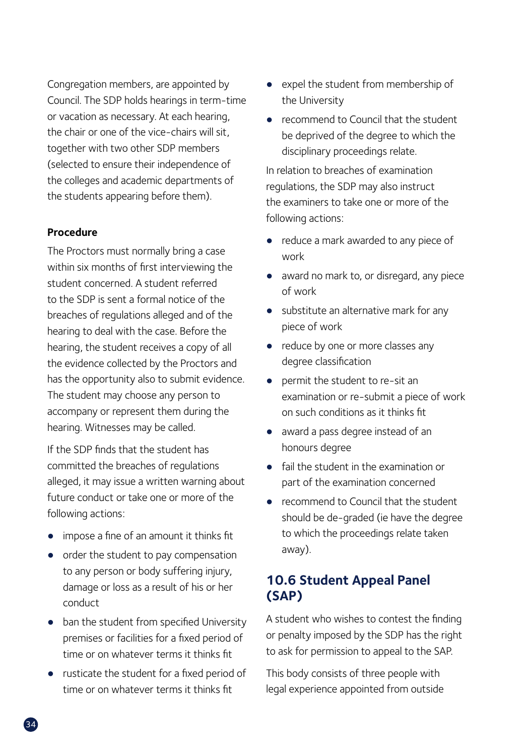<span id="page-33-0"></span>Congregation members, are appointed by Council. The SDP holds hearings in term-time or vacation as necessary. At each hearing, the chair or one of the vice-chairs will sit, together with two other SDP members (selected to ensure their independence of the colleges and academic departments of the students appearing before them).

### **Procedure**

The Proctors must normally bring a case within six months of first interviewing the student concerned. A student referred to the SDP is sent a formal notice of the breaches of regulations alleged and of the hearing to deal with the case. Before the hearing, the student receives a copy of all the evidence collected by the Proctors and has the opportunity also to submit evidence. The student may choose any person to accompany or represent them during the hearing. Witnesses may be called.

If the SDP finds that the student has committed the breaches of regulations alleged, it may issue a written warning about future conduct or take one or more of the following actions:

- impose a fine of an amount it thinks fit
- order the student to pay compensation to any person or body suffering injury, damage or loss as a result of his or her conduct
- ban the student from specified University premises or facilities for a fixed period of time or on whatever terms it thinks fit
- rusticate the student for a fixed period of time or on whatever terms it thinks fit
- expel the student from membership of the University
- recommend to Council that the student be deprived of the degree to which the disciplinary proceedings relate.

In relation to breaches of examination regulations, the SDP may also instruct the examiners to take one or more of the following actions:

- reduce a mark awarded to any piece of work
- award no mark to, or disregard, any piece of work
- substitute an alternative mark for any piece of work
- reduce by one or more classes any degree classification
- permit the student to re-sit an examination or re-submit a piece of work on such conditions as it thinks fit
- award a pass degree instead of an honours degree
- fail the student in the examination or part of the examination concerned
- recommend to Council that the student should be de-graded (ie have the degree to which the proceedings relate taken away).

## **10.6 Student Appeal Panel (SAP)**

A student who wishes to contest the finding or penalty imposed by the SDP has the right to ask for permission to appeal to the SAP.

This body consists of three people with legal experience appointed from outside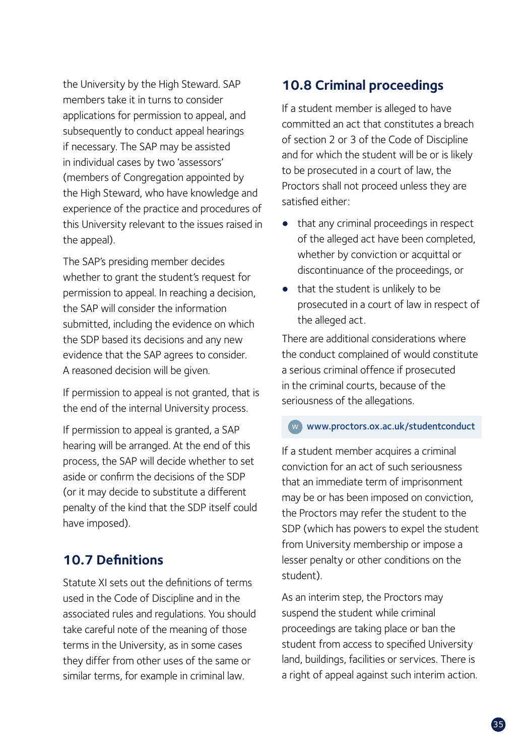<span id="page-34-0"></span>the University by the High Steward. SAP members take it in turns to consider applications for permission to appeal, and subsequently to conduct appeal hearings if necessary. The SAP may be assisted in individual cases by two 'assessors' (members of Congregation appointed by the High Steward, who have knowledge and experience of the practice and procedures of this University relevant to the issues raised in the appeal).

The SAP's presiding member decides whether to grant the student's request for permission to appeal. In reaching a decision, the SAP will consider the information submitted, including the evidence on which the SDP based its decisions and any new evidence that the SAP agrees to consider. A reasoned decision will be given.

If permission to appeal is not granted, that is the end of the internal University process.

If permission to appeal is granted, a SAP hearing will be arranged. At the end of this process, the SAP will decide whether to set aside or confirm the decisions of the SDP (or it may decide to substitute a different penalty of the kind that the SDP itself could have imposed).

## **10.7 Definitions**

Statute XI sets out the definitions of terms used in the Code of Discipline and in the associated rules and regulations. You should take careful note of the meaning of those terms in the University, as in some cases they differ from other uses of the same or similar terms, for example in criminal law.

# **10.8 Criminal proceedings**

If a student member is alleged to have committed an act that constitutes a breach of section 2 or 3 of the Code of Discipline and for which the student will be or is likely to be prosecuted in a court of law, the Proctors shall not proceed unless they are satisfied either:

- that any criminal proceedings in respect of the alleged act have been completed, whether by conviction or acquittal or discontinuance of the proceedings, or
- that the student is unlikely to be prosecuted in a court of law in respect of the alleged act.

There are additional considerations where the conduct complained of would constitute a serious criminal offence if prosecuted in the criminal courts, because of the seriousness of the allegations.

### w [www.proctors.ox.ac.uk/studentconduct](http://www.proctors.ox.ac.uk/studentconduct/)

If a student member acquires a criminal conviction for an act of such seriousness that an immediate term of imprisonment may be or has been imposed on conviction, the Proctors may refer the student to the SDP (which has powers to expel the student from University membership or impose a lesser penalty or other conditions on the student).

As an interim step, the Proctors may suspend the student while criminal proceedings are taking place or ban the student from access to specified University land, buildings, facilities or services. There is a right of appeal against such interim action.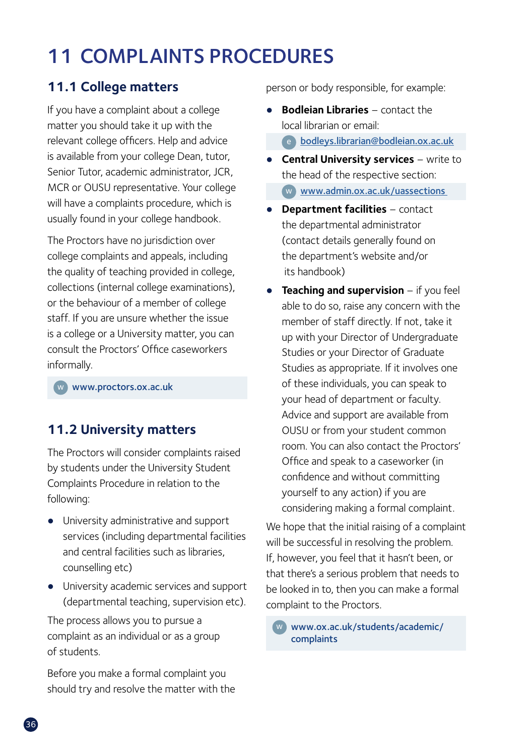# <span id="page-35-0"></span>11 COMPLAINTS PROCEDURES

# **11.1 College matters**

If you have a complaint about a college matter you should take it up with the relevant college officers. Help and advice is available from your college Dean, tutor, Senior Tutor, academic administrator, JCR, MCR or OUSU representative. Your college will have a complaints procedure, which is usually found in your college handbook.

The Proctors have no jurisdiction over college complaints and appeals, including the quality of teaching provided in college, collections (internal college examinations), or the behaviour of a member of college staff. If you are unsure whether the issue is a college or a University matter, you can consult the Proctors' Office caseworkers informally.

w [www.proctors.ox.ac.uk](http://www.proctors.ox.ac.uk/)

# **11.2 University matters**

The Proctors will consider complaints raised by students under the University Student Complaints Procedure in relation to the following:

- University administrative and support services (including departmental facilities and central facilities such as libraries, counselling etc)
- University academic services and support (departmental teaching, supervision etc).

The process allows you to pursue a complaint as an individual or as a group of students.

Before you make a formal complaint you should try and resolve the matter with the person or body responsible, for example:

**Bodleian Libraries** – contact the local librarian or email:

e [bodleys.librarian@bodleian.ox.ac.uk](mailto:bodleys.librarian%40bodleian.ox.ac.uk?subject=)

- **Central University services** write to the head of the respective section: w [www.admin.ox.ac.uk/uassections](http://www.admin.ox.ac.uk/uassections)
- **Department facilities** contact the departmental administrator (contact details generally found on the department's website and/or its handbook)
- **Teaching and supervision** if you feel able to do so, raise any concern with the member of staff directly. If not, take it up with your Director of Undergraduate Studies or your Director of Graduate Studies as appropriate. If it involves one of these individuals, you can speak to your head of department or faculty. Advice and support are available from OUSU or from your student common room. You can also contact the Proctors' Office and speak to a caseworker (in confidence and without committing yourself to any action) if you are considering making a formal complaint.

We hope that the initial raising of a complaint will be successful in resolving the problem. If, however, you feel that it hasn't been, or that there's a serious problem that needs to be looked in to, then you can make a formal complaint to the Proctors.

w [www.ox.ac.uk/students/academic/](https://www.ox.ac.uk/students/academic/complaints?wssl=1) [complaints](https://www.ox.ac.uk/students/academic/complaints?wssl=1)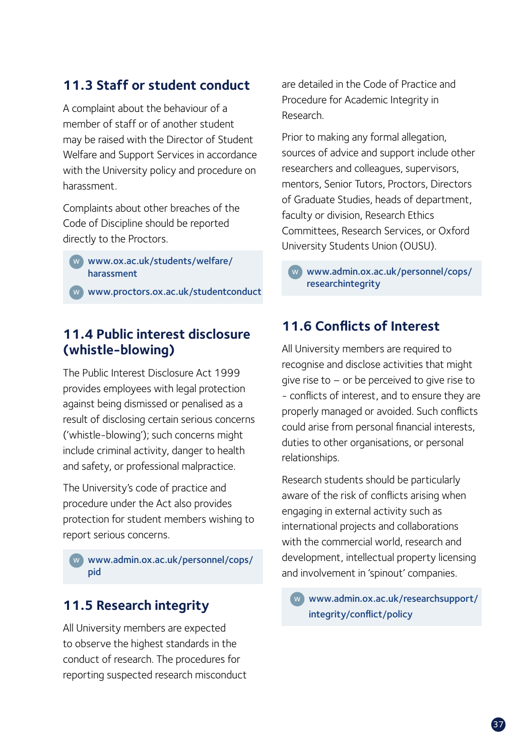# <span id="page-36-0"></span>**11.3 Staff or student conduct**

A complaint about the behaviour of a member of staff or of another student may be raised with the Director of Student Welfare and Support Services in accordance with the University policy and procedure on harassment.

Complaints about other breaches of the Code of Discipline should be reported directly to the Proctors.

w [www.ox.ac.uk/students/welfare/](https://www.ox.ac.uk/students/welfare/harassment?wssl=1) [harassment](https://www.ox.ac.uk/students/welfare/harassment?wssl=1)

w [www.proctors.ox.ac.uk/studentconduct](http://www.proctors.ox.ac.uk/studentconduct/)

## **11.4 Public interest disclosure (whistle-blowing)**

The Public Interest Disclosure Act 1999 provides employees with legal protection against being dismissed or penalised as a result of disclosing certain serious concerns ('whistle-blowing'); such concerns might include criminal activity, danger to health and safety, or professional malpractice.

The University's code of practice and procedure under the Act also provides protection for student members wishing to report serious concerns.

w [www.admin.ox.ac.uk/personnel/cops/](http://www.admin.ox.ac.uk/personnel/cops/pid/) [pid](http://www.admin.ox.ac.uk/personnel/cops/pid/)

## **11.5 Research integrity**

All University members are expected to observe the highest standards in the conduct of research. The procedures for reporting suspected research misconduct are detailed in the Code of Practice and Procedure for Academic Integrity in Research.

Prior to making any formal allegation, sources of advice and support include other researchers and colleagues, supervisors, mentors, Senior Tutors, Proctors, Directors of Graduate Studies, heads of department, faculty or division, Research Ethics Committees, Research Services, or Oxford University Students Union (OUSU).

w [www.admin.ox.ac.uk/personnel/cops/](http://www.admin.ox.ac.uk/personnel/cops/researchintegrity/) [researchintegrity](http://www.admin.ox.ac.uk/personnel/cops/researchintegrity/)

## **11.6 Conflicts of Interest**

All University members are required to recognise and disclose activities that might give rise to – or be perceived to give rise to - conflicts of interest, and to ensure they are properly managed or avoided. Such conflicts could arise from personal financial interests, duties to other organisations, or personal relationships.

Research students should be particularly aware of the risk of conflicts arising when engaging in external activity such as international projects and collaborations with the commercial world, research and development, intellectual property licensing and involvement in 'spinout' companies.

w www.admin.ox.ac.uk/researchsupport/ integrity/conflict/policy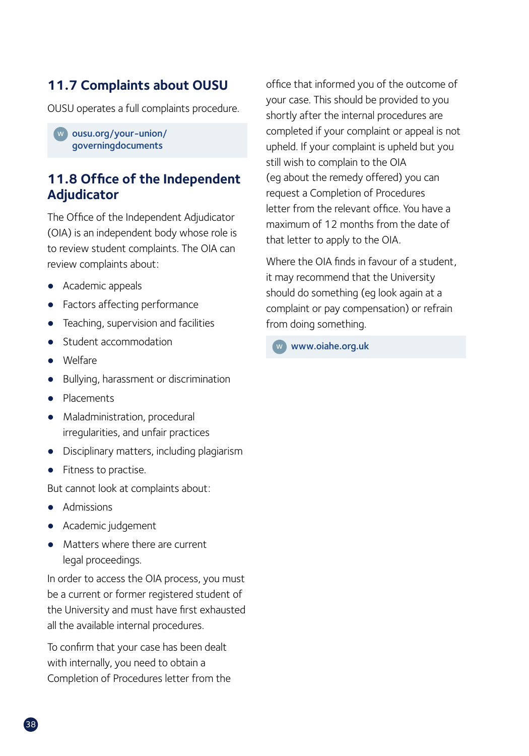# <span id="page-37-0"></span>**11.7 Complaints about OUSU**

OUSU operates a full complaints procedure.

w [ousu.org/your-union/](http://ousu.org/your-union/governingdocuments/) [governingdocuments](http://ousu.org/your-union/governingdocuments/)

# **11.8 Office of the Independent Adjudicator**

The Office of the Independent Adjudicator (OIA) is an independent body whose role is to review student complaints. The OIA can review complaints about:

- Academic appeals
- Factors affecting performance
- Teaching, supervision and facilities
- Student accommodation
- Welfare
- Bullying, harassment or discrimination
- Placements
- Maladministration, procedural irregularities, and unfair practices
- Disciplinary matters, including plagiarism
- Fitness to practise.

But cannot look at complaints about:

- Admissions
- Academic judgement
- Matters where there are current legal proceedings.

In order to access the OIA process, you must be a current or former registered student of the University and must have first exhausted all the available internal procedures.

To confirm that your case has been dealt with internally, you need to obtain a Completion of Procedures letter from the

office that informed you of the outcome of your case. This should be provided to you shortly after the internal procedures are completed if your complaint or appeal is not upheld. If your complaint is upheld but you still wish to complain to the OIA (eg about the remedy offered) you can request a Completion of Procedures letter from the relevant office. You have a maximum of 12 months from the date of that letter to apply to the OIA.

Where the OIA finds in favour of a student. it may recommend that the University should do something (eg look again at a complaint or pay compensation) or refrain from doing something.

w [www.oiahe.org.uk](http://www.oiahe.org.uk/)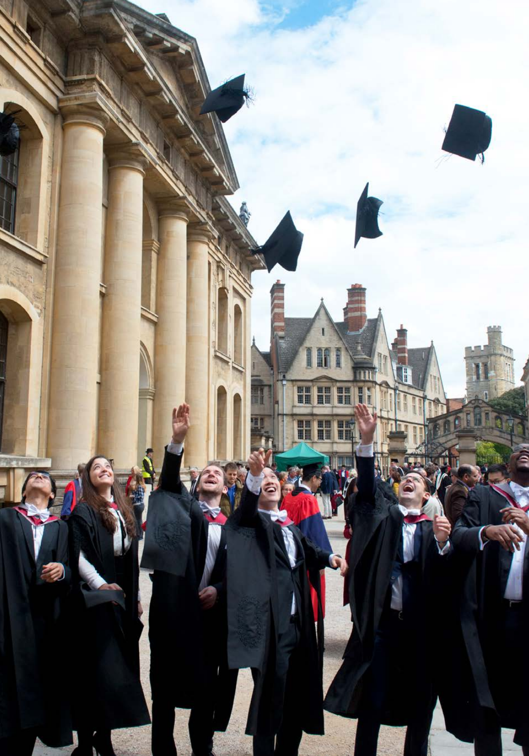